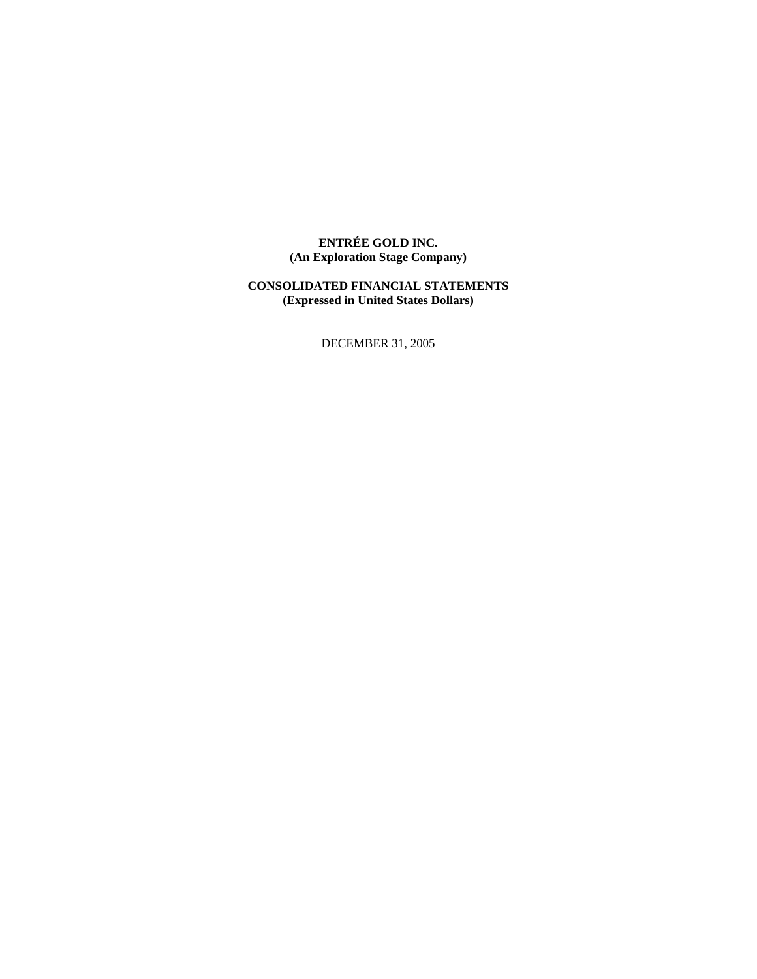# **ENTRÉE GOLD INC. (An Exploration Stage Company)**

# **CONSOLIDATED FINANCIAL STATEMENTS (Expressed in United States Dollars)**

DECEMBER 31, 2005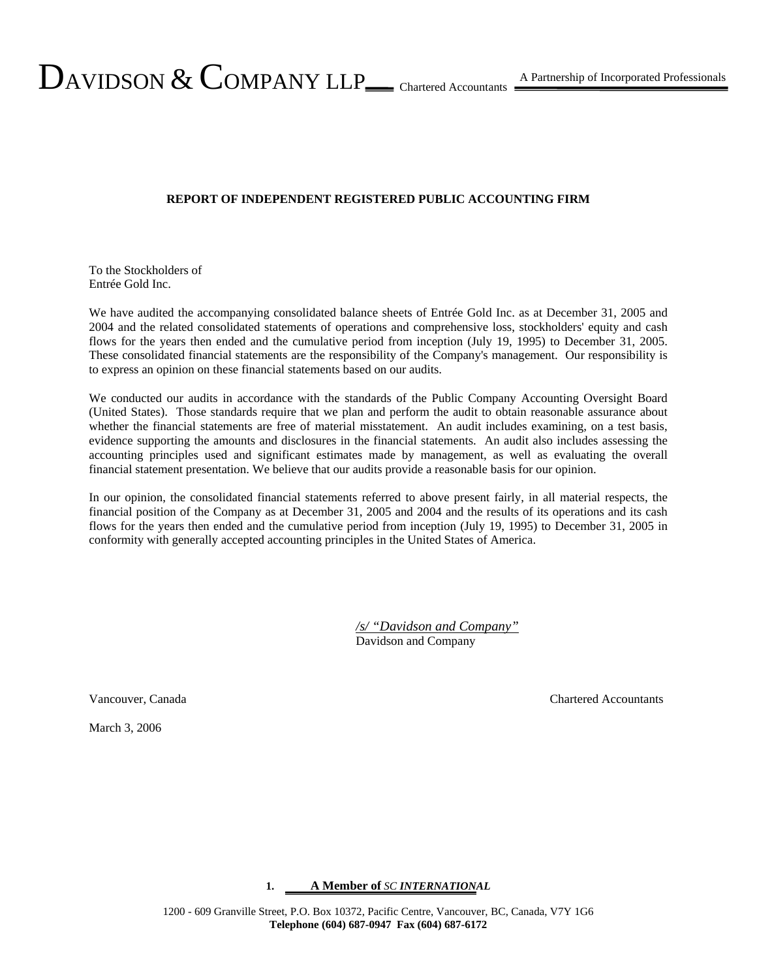## **REPORT OF INDEPENDENT REGISTERED PUBLIC ACCOUNTING FIRM**

To the Stockholders of Entrée Gold Inc.

We have audited the accompanying consolidated balance sheets of Entrée Gold Inc. as at December 31, 2005 and 2004 and the related consolidated statements of operations and comprehensive loss, stockholders' equity and cash flows for the years then ended and the cumulative period from inception (July 19, 1995) to December 31, 2005. These consolidated financial statements are the responsibility of the Company's management. Our responsibility is to express an opinion on these financial statements based on our audits.

We conducted our audits in accordance with the standards of the Public Company Accounting Oversight Board (United States). Those standards require that we plan and perform the audit to obtain reasonable assurance about whether the financial statements are free of material misstatement. An audit includes examining, on a test basis, evidence supporting the amounts and disclosures in the financial statements. An audit also includes assessing the accounting principles used and significant estimates made by management, as well as evaluating the overall financial statement presentation. We believe that our audits provide a reasonable basis for our opinion.

In our opinion, the consolidated financial statements referred to above present fairly, in all material respects, the financial position of the Company as at December 31, 2005 and 2004 and the results of its operations and its cash flows for the years then ended and the cumulative period from inception (July 19, 1995) to December 31, 2005 in conformity with generally accepted accounting principles in the United States of America.

*/s/ "Davidson and Company"* Davidson and Company

March 3, 2006

Vancouver, Canada Chartered Accountants

**<sup>1.</sup> A Member of** *SC INTERNATIONAL*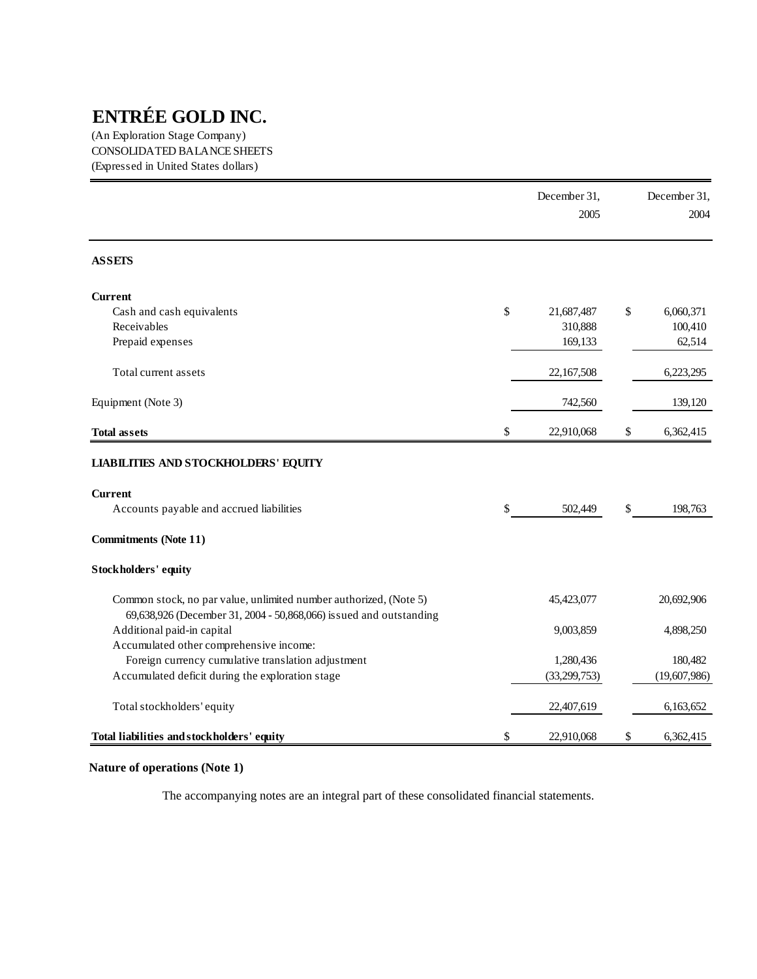(An Exploration Stage Company) CONSOLIDATED BALANCE SHEETS (Expressed in United States dollars)

|                                                                                                                                         | December 31,<br>2005 | December 31,<br>2004 |
|-----------------------------------------------------------------------------------------------------------------------------------------|----------------------|----------------------|
| <b>ASSETS</b>                                                                                                                           |                      |                      |
| <b>Current</b>                                                                                                                          |                      |                      |
| Cash and cash equivalents                                                                                                               | \$<br>21,687,487     | \$<br>6,060,371      |
| Receivables                                                                                                                             | 310,888              | 100,410              |
| Prepaid expenses                                                                                                                        | 169,133              | 62,514               |
| Total current assets                                                                                                                    | 22,167,508           | 6,223,295            |
| Equipment (Note 3)                                                                                                                      | 742,560              | 139,120              |
| <b>Total assets</b>                                                                                                                     | \$<br>22,910,068     | \$<br>6,362,415      |
| <b>LIABILITIES AND STOCKHOLDERS' EQUITY</b>                                                                                             |                      |                      |
| <b>Current</b>                                                                                                                          |                      |                      |
| Accounts payable and accrued liabilities                                                                                                | \$<br>502,449        | \$<br>198,763        |
| <b>Commitments</b> (Note 11)                                                                                                            |                      |                      |
| <b>Stockholders' equity</b>                                                                                                             |                      |                      |
| Common stock, no par value, unlimited number authorized, (Note 5)<br>69,638,926 (December 31, 2004 - 50,868,066) issued and outstanding | 45,423,077           | 20,692,906           |
| Additional paid-in capital                                                                                                              | 9,003,859            | 4,898,250            |
| Accumulated other comprehensive income:                                                                                                 |                      |                      |
| Foreign currency cumulative translation adjustment                                                                                      | 1,280,436            | 180,482              |
| Accumulated deficit during the exploration stage                                                                                        | (33,299,753)         | (19,607,986)         |
| Total stockholders' equity                                                                                                              | 22,407,619           | 6,163,652            |
| Total liabilities and stockholders' equity                                                                                              | \$<br>22,910,068     | \$<br>6,362,415      |

# **Nature of operations (Note 1)**

The accompanying notes are an integral part of these consolidated financial statements.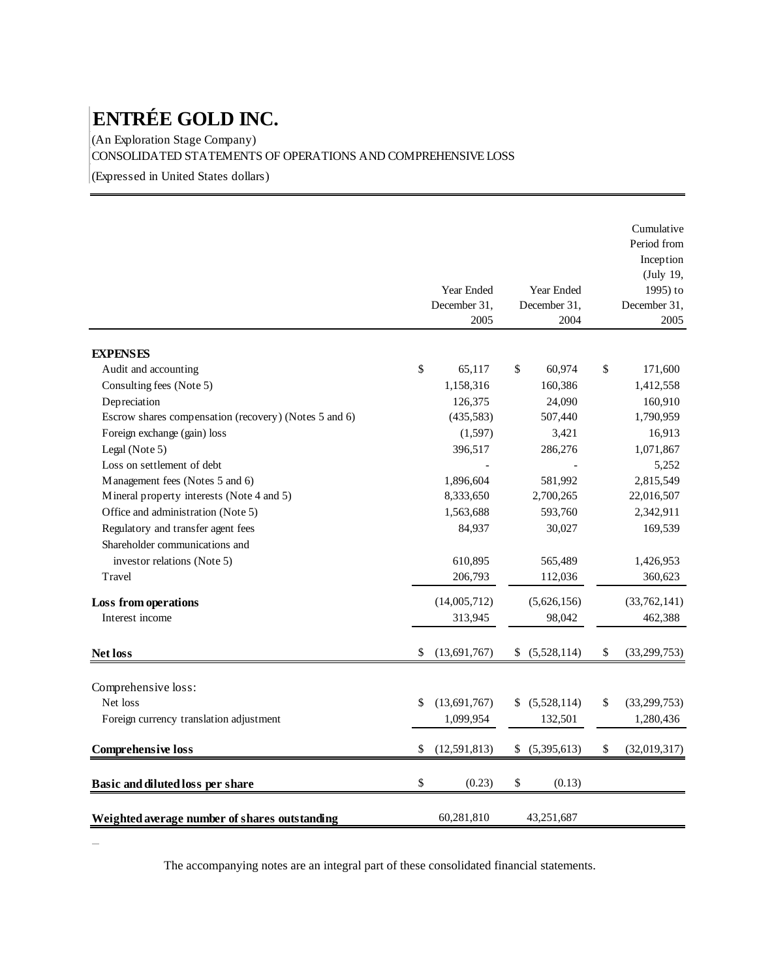(An Exploration Stage Company)

CONSOLIDATED STATEMENTS OF OPERATIONS AND COMPREHENSIVE LOSS

(Expressed in United States dollars)

|                                                       |                      |    |                      | Cumulative<br>Period from<br>Inception |
|-------------------------------------------------------|----------------------|----|----------------------|----------------------------------------|
|                                                       | <b>Year Ended</b>    |    | <b>Year Ended</b>    | (July 19,<br>1995) to                  |
|                                                       | December 31,<br>2005 |    | December 31,<br>2004 | December 31,<br>2005                   |
| <b>EXPENSES</b>                                       |                      |    |                      |                                        |
| Audit and accounting                                  | \$<br>65,117         | \$ | 60,974               | \$<br>171,600                          |
| Consulting fees (Note 5)                              | 1,158,316            |    | 160,386              | 1,412,558                              |
| Depreciation                                          | 126,375              |    | 24,090               | 160,910                                |
| Escrow shares compensation (recovery) (Notes 5 and 6) | (435,583)            |    | 507,440              | 1,790,959                              |
| Foreign exchange (gain) loss                          | (1,597)              |    | 3,421                | 16,913                                 |
| Legal (Note 5)                                        | 396,517              |    | 286,276              | 1,071,867                              |
| Loss on settlement of debt                            |                      |    |                      | 5,252                                  |
| Management fees (Notes 5 and 6)                       | 1,896,604            |    | 581,992              | 2,815,549                              |
| Mineral property interests (Note 4 and 5)             | 8,333,650            |    | 2,700,265            | 22,016,507                             |
| Office and administration (Note 5)                    | 1,563,688            |    | 593,760              | 2,342,911                              |
| Regulatory and transfer agent fees                    | 84,937               |    | 30,027               | 169,539                                |
| Shareholder communications and                        |                      |    |                      |                                        |
| investor relations (Note 5)                           | 610,895              |    | 565,489              | 1,426,953                              |
| Travel                                                | 206,793              |    | 112,036              | 360,623                                |
| Loss from operations                                  | (14,005,712)         |    | (5,626,156)          | (33, 762, 141)                         |
| Interest income                                       | 313,945              |    | 98,042               | 462,388                                |
| Net loss                                              | \$<br>(13,691,767)   | \$ | (5,528,114)          | \$<br>(33,299,753)                     |
| Comprehensive loss:                                   |                      |    |                      |                                        |
| Net loss                                              | \$<br>(13,691,767)   | S  | (5,528,114)          | \$<br>(33,299,753)                     |
| Foreign currency translation adjustment               | 1,099,954            |    | 132,501              | 1,280,436                              |
|                                                       |                      |    |                      |                                        |
| <b>Comprehensive loss</b>                             | \$<br>(12,591,813)   | \$ | (5,395,613)          | \$<br>(32,019,317)                     |
| Basic and diluted loss per share                      | \$<br>(0.23)         | \$ | (0.13)               |                                        |
| Weighted average number of shares outstanding         | 60,281,810           |    | 43,251,687           |                                        |

 $\overline{\phantom{0}}$ 

The accompanying notes are an integral part of these consolidated financial statements.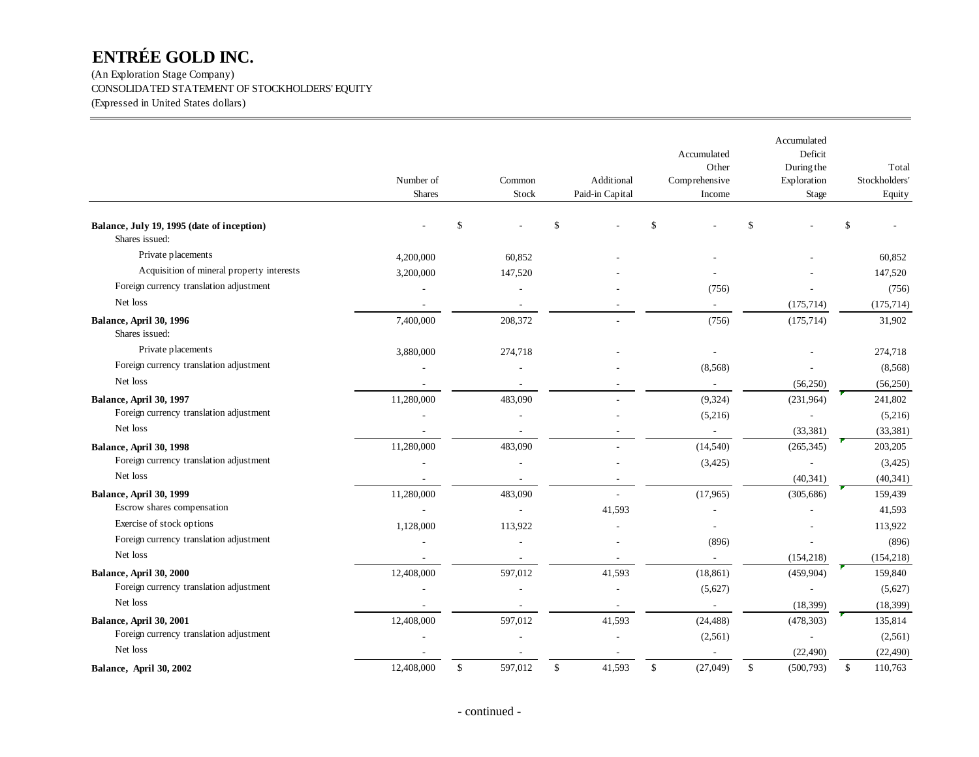(An Exploration Stage Company) CONSOLIDATED STATEMENT OF STOCKHOLDERS' EQUITY (Expressed in United States dollars)

|                                                              | Number of<br><b>Shares</b> |             | Common<br>Stock          | Additional<br>Paid-in Capital |               | Accumulated<br>Other<br>Comprehensive<br>Income | Accumulated<br>Deficit<br>During the<br>Exploration<br>Stage |              | Total<br>Stockholders'<br>Equity |
|--------------------------------------------------------------|----------------------------|-------------|--------------------------|-------------------------------|---------------|-------------------------------------------------|--------------------------------------------------------------|--------------|----------------------------------|
| Balance, July 19, 1995 (date of inception)<br>Shares issued: |                            | \$          |                          | \$                            | <sup>\$</sup> |                                                 | \$                                                           |              |                                  |
| Private placements                                           | 4,200,000                  |             | 60,852                   |                               |               |                                                 |                                                              |              | 60,852                           |
| Acquisition of mineral property interests                    | 3,200,000                  |             | 147,520                  |                               |               |                                                 |                                                              |              | 147,520                          |
| Foreign currency translation adjustment                      |                            |             |                          |                               |               | (756)                                           |                                                              |              | (756)                            |
| Net loss                                                     | $\overline{\phantom{a}}$   |             | $\sim$                   |                               |               | $\sim$                                          | (175, 714)                                                   |              | (175, 714)                       |
| Balance, April 30, 1996<br>Shares issued:                    | 7,400,000                  |             | 208,372                  |                               |               | (756)                                           | (175, 714)                                                   |              | 31,902                           |
| Private placements                                           | 3,880,000                  |             | 274,718                  |                               |               |                                                 |                                                              |              | 274,718                          |
| Foreign currency translation adjustment                      |                            |             |                          |                               |               | (8, 568)                                        |                                                              |              | (8,568)                          |
| Net loss                                                     |                            |             |                          |                               |               |                                                 | (56,250)                                                     |              | (56,250)                         |
| Balance, April 30, 1997                                      | 11,280,000                 |             | 483,090                  |                               |               | (9, 324)                                        | (231,964)                                                    |              | 241,802                          |
| Foreign currency translation adjustment                      |                            |             |                          |                               |               | (5,216)                                         |                                                              |              | (5,216)                          |
| Net loss                                                     |                            |             |                          |                               |               |                                                 | (33, 381)                                                    |              | (33, 381)                        |
| Balance, April 30, 1998                                      | 11,280,000                 |             | 483,090                  |                               |               | (14, 540)                                       | (265, 345)                                                   |              | 203,205                          |
| Foreign currency translation adjustment                      |                            |             |                          |                               |               | (3, 425)                                        | $\sim$                                                       |              | (3, 425)                         |
| Net loss                                                     |                            |             |                          |                               |               |                                                 | (40, 341)                                                    |              | (40, 341)                        |
| Balance, April 30, 1999                                      | 11,280,000                 |             | 483,090                  |                               |               | (17,965)                                        | (305, 686)                                                   |              | 159,439                          |
| Escrow shares compensation                                   |                            |             | $\overline{\phantom{a}}$ | 41,593                        |               |                                                 |                                                              |              | 41,593                           |
| Exercise of stock options                                    | 1,128,000                  |             | 113,922                  |                               |               |                                                 |                                                              |              | 113,922                          |
| Foreign currency translation adjustment                      |                            |             | J.                       |                               |               | (896)                                           |                                                              |              | (896)                            |
| Net loss                                                     |                            |             |                          |                               |               |                                                 | (154, 218)                                                   |              | (154, 218)                       |
| Balance, April 30, 2000                                      | 12,408,000                 |             | 597,012                  | 41,593                        |               | (18, 861)                                       | (459,904)                                                    |              | 159,840                          |
| Foreign currency translation adjustment                      |                            |             |                          |                               |               | (5,627)                                         |                                                              |              | (5,627)                          |
| Net loss                                                     | $\overline{\phantom{a}}$   |             | $\blacksquare$           | $\overline{\phantom{a}}$      |               | $\sim$                                          | (18, 399)                                                    |              | (18,399)                         |
| Balance, April 30, 2001                                      | 12,408,000                 |             | 597,012                  | 41,593                        |               | (24, 488)                                       | (478, 303)                                                   |              | 135,814                          |
| Foreign currency translation adjustment                      |                            |             |                          |                               |               | (2,561)                                         | $\overline{\phantom{a}}$                                     |              | (2,561)                          |
| Net loss                                                     |                            |             |                          |                               |               |                                                 | (22, 490)                                                    |              | (22, 490)                        |
| Balance, April 30, 2002                                      | 12,408,000                 | $\mathbb S$ | 597,012                  | \$<br>41,593                  | \$            | (27, 049)                                       | \$<br>(500, 793)                                             | $\mathbb{S}$ | 110,763                          |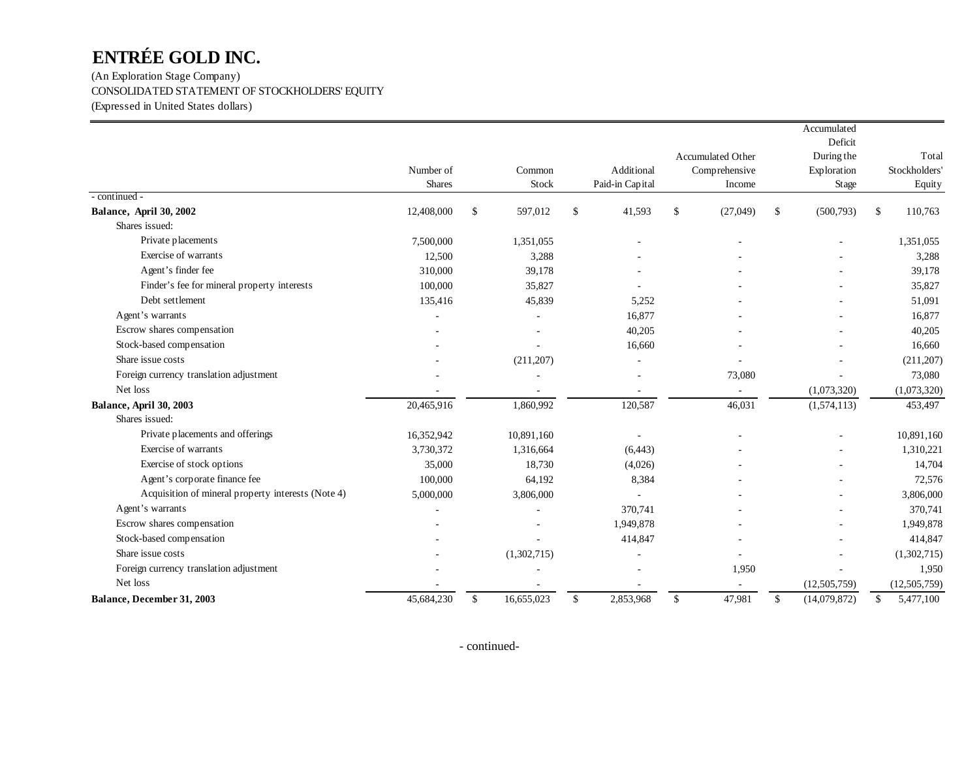(An Exploration Stage Company) CONSOLIDATED STATEMENT OF STOCKHOLDERS' EQUITY (Expressed in United States dollars)

|                                                    |               |              |             |              |                 |              |                   | Accumulated        |               |                |
|----------------------------------------------------|---------------|--------------|-------------|--------------|-----------------|--------------|-------------------|--------------------|---------------|----------------|
|                                                    |               |              |             |              |                 |              |                   | Deficit            |               |                |
|                                                    |               |              |             |              |                 |              | Accumulated Other | During the         |               | Total          |
|                                                    | Number of     |              | Common      |              | Additional      |              | Comprehensive     | Exploration        |               | Stockholders'  |
|                                                    | <b>Shares</b> |              | Stock       |              | Paid-in Capital |              | Income            | Stage              |               | Equity         |
| - continued -                                      |               |              |             |              |                 |              |                   |                    |               |                |
| Balance, April 30, 2002<br>Shares issued:          | 12,408,000    | $\mathbb{S}$ | 597,012     | $\mathbb{S}$ | 41,593          | $\mathbb{S}$ | (27, 049)         | \$<br>(500, 793)   | <sup>\$</sup> | 110,763        |
| Private placements                                 |               |              |             |              |                 |              |                   |                    |               |                |
|                                                    | 7,500,000     |              | 1,351,055   |              |                 |              |                   |                    |               | 1,351,055      |
| Exercise of warrants                               | 12,500        |              | 3,288       |              |                 |              |                   |                    |               | 3,288          |
| Agent's finder fee                                 | 310,000       |              | 39,178      |              |                 |              |                   |                    |               | 39,178         |
| Finder's fee for mineral property interests        | 100,000       |              | 35,827      |              |                 |              |                   |                    |               | 35,827         |
| Debt settlement                                    | 135,416       |              | 45,839      |              | 5,252           |              |                   |                    |               | 51,091         |
| Agent's warrants                                   |               |              | ä,          |              | 16,877          |              |                   |                    |               | 16,877         |
| Escrow shares compensation                         |               |              |             |              | 40,205          |              |                   |                    |               | 40,205         |
| Stock-based compensation                           |               |              |             |              | 16,660          |              |                   |                    |               | 16,660         |
| Share issue costs                                  |               |              | (211, 207)  |              |                 |              |                   |                    |               | (211, 207)     |
| Foreign currency translation adjustment            |               |              |             |              |                 |              | 73,080            |                    |               | 73,080         |
| Net loss                                           |               |              |             |              |                 |              |                   | (1,073,320)        |               | (1,073,320)    |
| Balance, April 30, 2003                            | 20,465,916    |              | 1,860,992   |              | 120,587         |              | 46,031            | (1,574,113)        |               | 453,497        |
| Shares issued:                                     |               |              |             |              |                 |              |                   |                    |               |                |
| Private placements and offerings                   | 16,352,942    |              | 10,891,160  |              |                 |              |                   |                    |               | 10,891,160     |
| Exercise of warrants                               | 3,730,372     |              | 1,316,664   |              | (6, 443)        |              |                   |                    |               | 1,310,221      |
| Exercise of stock options                          | 35,000        |              | 18,730      |              | (4,026)         |              |                   |                    |               | 14,704         |
| Agent's corporate finance fee                      | 100,000       |              | 64,192      |              | 8,384           |              |                   |                    |               | 72,576         |
| Acquisition of mineral property interests (Note 4) | 5,000,000     |              | 3,806,000   |              |                 |              |                   |                    |               | 3,806,000      |
| Agent's warrants                                   |               |              |             |              | 370,741         |              |                   |                    |               | 370,741        |
| Escrow shares compensation                         |               |              |             |              | 1,949,878       |              |                   |                    |               | 1,949,878      |
| Stock-based compensation                           |               |              |             |              | 414,847         |              |                   |                    |               | 414,847        |
| Share issue costs                                  |               |              | (1,302,715) |              |                 |              |                   |                    |               | (1,302,715)    |
| Foreign currency translation adjustment            |               |              |             |              |                 |              | 1,950             |                    |               | 1,950          |
| Net loss                                           |               |              |             |              |                 |              |                   | (12, 505, 759)     |               | (12, 505, 759) |
| Balance, December 31, 2003                         | 45,684,230    | $\mathbb{S}$ | 16,655,023  | $\mathbb{S}$ | 2,853,968       | $\mathbb{S}$ | 47,981            | \$<br>(14,079,872) | $\mathbb{S}$  | 5,477,100      |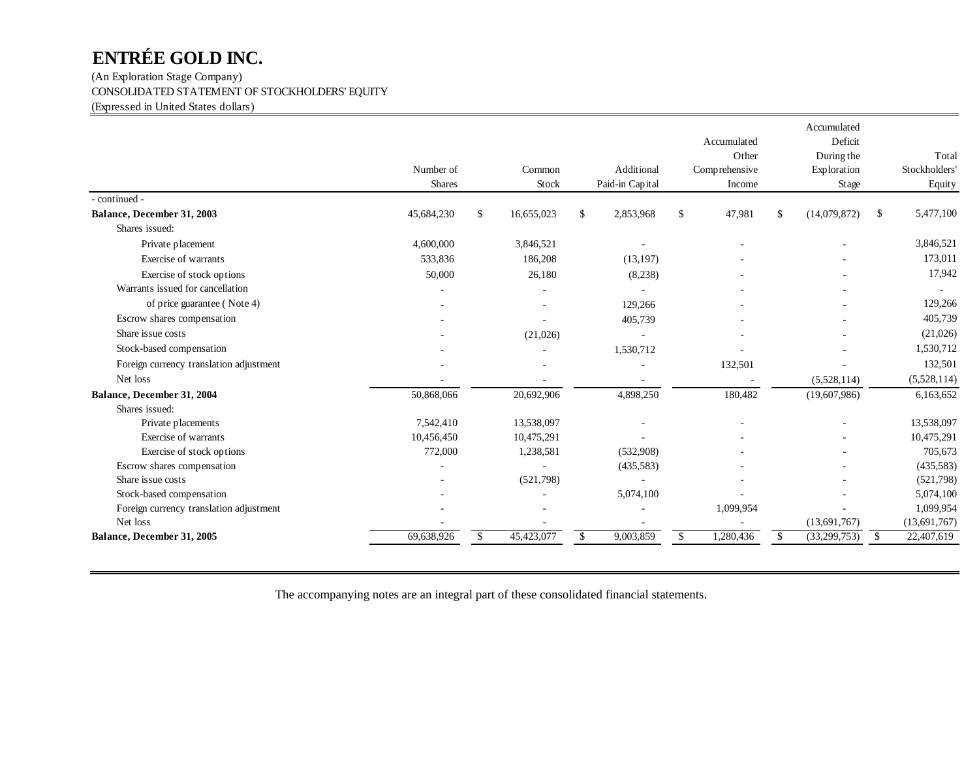(An Exploration Stage Company) CONSOLIDATED STATEMENT OF STOCKHOLDERS' EQUITY (Expressed in United States dollars)

|                                         | Number of<br><b>Shares</b> | Common<br>Stock  |              | Additional<br>Paid-in Capital | Accumulated<br>Other<br>Comprehensive<br>Income | Accumulated<br>Deficit<br>During the<br>Exploration<br>Stage |              | Total<br>Stockholders<br>Equity |
|-----------------------------------------|----------------------------|------------------|--------------|-------------------------------|-------------------------------------------------|--------------------------------------------------------------|--------------|---------------------------------|
| - continued -                           |                            |                  |              |                               |                                                 |                                                              |              |                                 |
| Balance, December 31, 2003              | 45,684,230                 | \$<br>16,655,023 | $\mathbb{S}$ | 2,853,968                     | \$<br>47,981                                    | \$<br>(14,079,872)                                           | \$           | 5,477,100                       |
| Shares issued:                          |                            |                  |              |                               |                                                 |                                                              |              |                                 |
| Private placement                       | 4,600,000                  | 3,846,521        |              | $\sim$                        |                                                 |                                                              |              | 3,846,521                       |
| Exercise of warrants                    | 533,836                    | 186,208          |              | (13, 197)                     |                                                 |                                                              |              | 173,011                         |
| Exercise of stock options               | 50,000                     | 26,180           |              | (8,238)                       |                                                 |                                                              |              | 17,942                          |
| Warrants issued for cancellation        |                            |                  |              |                               |                                                 |                                                              |              |                                 |
| of price guarantee (Note 4)             |                            | $\rightarrow$    |              | 129,266                       |                                                 |                                                              |              | 129,266                         |
| Escrow shares compensation              |                            |                  |              | 405,739                       |                                                 |                                                              |              | 405,739                         |
| Share issue costs                       |                            | (21,026)         |              |                               |                                                 |                                                              |              | (21,026)                        |
| Stock-based compensation                |                            | ٠                |              | 1,530,712                     |                                                 |                                                              |              | 1,530,712                       |
| Foreign currency translation adjustment |                            |                  |              |                               | 132,501                                         |                                                              |              | 132,501                         |
| Net loss                                |                            |                  |              |                               |                                                 | (5,528,114)                                                  |              | (5,528,114)                     |
| Balance, December 31, 2004              | 50,868,066                 | 20,692,906       |              | 4,898,250                     | 180,482                                         | (19,607,986)                                                 |              | 6,163,652                       |
| Shares issued:                          |                            |                  |              |                               |                                                 |                                                              |              |                                 |
| Private placements                      | 7,542,410                  | 13,538,097       |              |                               |                                                 |                                                              |              | 13,538,097                      |
| Exercise of warrants                    | 10,456,450                 | 10,475,291       |              |                               |                                                 |                                                              |              | 10,475,291                      |
| Exercise of stock options               | 772,000                    | 1,238,581        |              | (532,908)                     |                                                 |                                                              |              | 705,673                         |
| Escrow shares compensation              |                            | $\overline{a}$   |              | (435,583)                     |                                                 |                                                              |              | (435,583)                       |
| Share issue costs                       |                            | (521,798)        |              |                               |                                                 |                                                              |              | (521,798)                       |
| Stock-based compensation                |                            |                  |              | 5,074,100                     |                                                 |                                                              |              | 5,074,100                       |
| Foreign currency translation adjustment |                            |                  |              |                               | 1,099,954                                       |                                                              |              | 1,099,954                       |
| Net loss                                |                            |                  |              |                               |                                                 | (13,691,767)                                                 |              | (13,691,767)                    |
| Balance, December 31, 2005              | 69,638,926                 | \$<br>45,423,077 | \$           | 9,003,859                     | \$<br>1,280,436                                 | \$<br>(33,299,753)                                           | $\mathbb{S}$ | 22,407,619                      |

The accompanying notes are an integral part of these consolidated financial statements.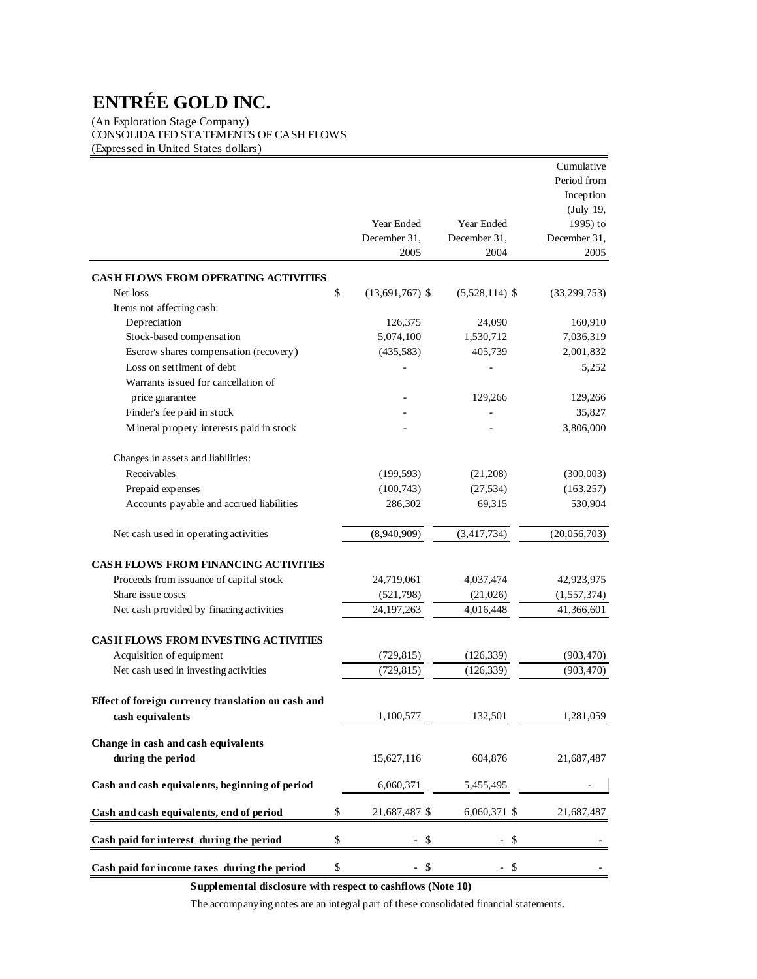(An Exploration Stage Company) CONSOLIDATED STATEMENTS OF CASH FLOWS (Expressed in United States dollars)

| Cash paid for income taxes during the period                                           | \$<br>\$                | \$<br>$\overline{\phantom{a}}$ |               |
|----------------------------------------------------------------------------------------|-------------------------|--------------------------------|---------------|
| Cash paid for interest during the period                                               | \$<br>\$                | \$                             |               |
| Cash and cash equivalents, end of period                                               | \$<br>21,687,487 \$     | 6,060,371 \$                   | 21,687,487    |
| Cash and cash equivalents, beginning of period                                         | 6,060,371               | 5,455,495                      |               |
| Change in cash and cash equivalents<br>during the period                               | 15,627,116              | 604,876                        | 21,687,487    |
| Effect of foreign currency translation on cash and<br>cash equivalents                 | 1,100,577               | 132,501                        | 1,281,059     |
|                                                                                        |                         |                                |               |
| Net cash used in investing activities                                                  | (729, 815)              | (126, 339)                     | (903, 470)    |
| <b>CASH FLOWS FROM INVESTING ACTIVITIES</b><br>Acquisition of equipment                | (729, 815)              | (126, 339)                     | (903, 470)    |
| Net cash provided by finacing activities                                               | 24, 197, 263            | 4,016,448                      | 41,366,601    |
| Share issue costs                                                                      | (521,798)               | (21,026)                       | (1, 557, 374) |
| <b>CASH FLOWS FROM FINANCING ACTIVITIES</b><br>Proceeds from issuance of capital stock | 24,719,061              | 4,037,474                      | 42,923,975    |
| Net cash used in operating activities                                                  | (8,940,909)             | (3,417,734)                    | (20,056,703)  |
| Accounts payable and accrued liabilities                                               | 286,302                 | 69,315                         | 530,904       |
| Prepaid expenses                                                                       | (100, 743)              | (27, 534)                      | (163, 257)    |
| Receivables                                                                            | (199, 593)              | (21,208)                       | (300,003)     |
| Changes in assets and liabilities:                                                     |                         |                                |               |
| Mineral propety interests paid in stock                                                |                         |                                | 3,806,000     |
| Finder's fee paid in stock                                                             |                         |                                | 35,827        |
| Warrants issued for cancellation of<br>price guarantee                                 |                         | 129,266                        | 129,266       |
| Loss on settlment of debt                                                              |                         |                                | 5,252         |
| Escrow shares compensation (recovery)                                                  | (435,583)               | 405,739                        | 2,001,832     |
| Stock-based compensation                                                               | 5,074,100               | 1,530,712                      | 7,036,319     |
| Items not affecting cash:<br>Depreciation                                              | 126,375                 | 24,090                         | 160,910       |
| <b>CASH FLOWS FROM OPERATING ACTIVITIES</b><br>Net loss                                | \$<br>$(13,691,767)$ \$ | $(5,528,114)$ \$               | (33,299,753)  |
|                                                                                        | 2005                    | 2004                           | 2005          |
|                                                                                        | December 31.            | December 31,                   | December 31,  |
|                                                                                        | Year Ended              | Year Ended                     | 1995) to      |
|                                                                                        |                         |                                | (July 19,     |
|                                                                                        |                         |                                | Inception     |
|                                                                                        |                         |                                | Period from   |
|                                                                                        |                         |                                | Cumulative    |

**Supplemental disclosure with respect to cashflows (Note 10)**

The accompanying notes are an integral part of these consolidated financial statements.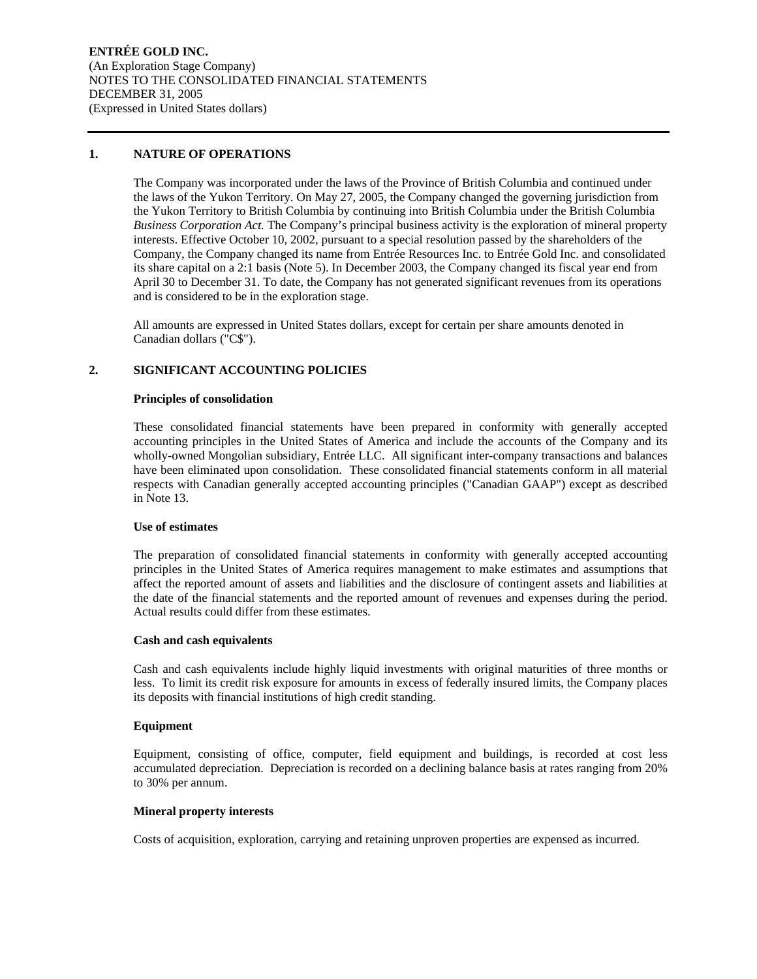## **1. NATURE OF OPERATIONS**

The Company was incorporated under the laws of the Province of British Columbia and continued under the laws of the Yukon Territory. On May 27, 2005, the Company changed the governing jurisdiction from the Yukon Territory to British Columbia by continuing into British Columbia under the British Columbia *Business Corporation Act.* The Company's principal business activity is the exploration of mineral property interests. Effective October 10, 2002, pursuant to a special resolution passed by the shareholders of the Company, the Company changed its name from Entrée Resources Inc. to Entrée Gold Inc. and consolidated its share capital on a 2:1 basis (Note 5). In December 2003, the Company changed its fiscal year end from April 30 to December 31. To date, the Company has not generated significant revenues from its operations and is considered to be in the exploration stage.

All amounts are expressed in United States dollars, except for certain per share amounts denoted in Canadian dollars ("C\$").

## **2. SIGNIFICANT ACCOUNTING POLICIES**

#### **Principles of consolidation**

These consolidated financial statements have been prepared in conformity with generally accepted accounting principles in the United States of America and include the accounts of the Company and its wholly-owned Mongolian subsidiary, Entrée LLC. All significant inter-company transactions and balances have been eliminated upon consolidation. These consolidated financial statements conform in all material respects with Canadian generally accepted accounting principles ("Canadian GAAP") except as described in Note 13.

## **Use of estimates**

The preparation of consolidated financial statements in conformity with generally accepted accounting principles in the United States of America requires management to make estimates and assumptions that affect the reported amount of assets and liabilities and the disclosure of contingent assets and liabilities at the date of the financial statements and the reported amount of revenues and expenses during the period. Actual results could differ from these estimates.

## **Cash and cash equivalents**

Cash and cash equivalents include highly liquid investments with original maturities of three months or less. To limit its credit risk exposure for amounts in excess of federally insured limits, the Company places its deposits with financial institutions of high credit standing.

## **Equipment**

Equipment, consisting of office, computer, field equipment and buildings, is recorded at cost less accumulated depreciation. Depreciation is recorded on a declining balance basis at rates ranging from 20% to 30% per annum.

## **Mineral property interests**

Costs of acquisition, exploration, carrying and retaining unproven properties are expensed as incurred.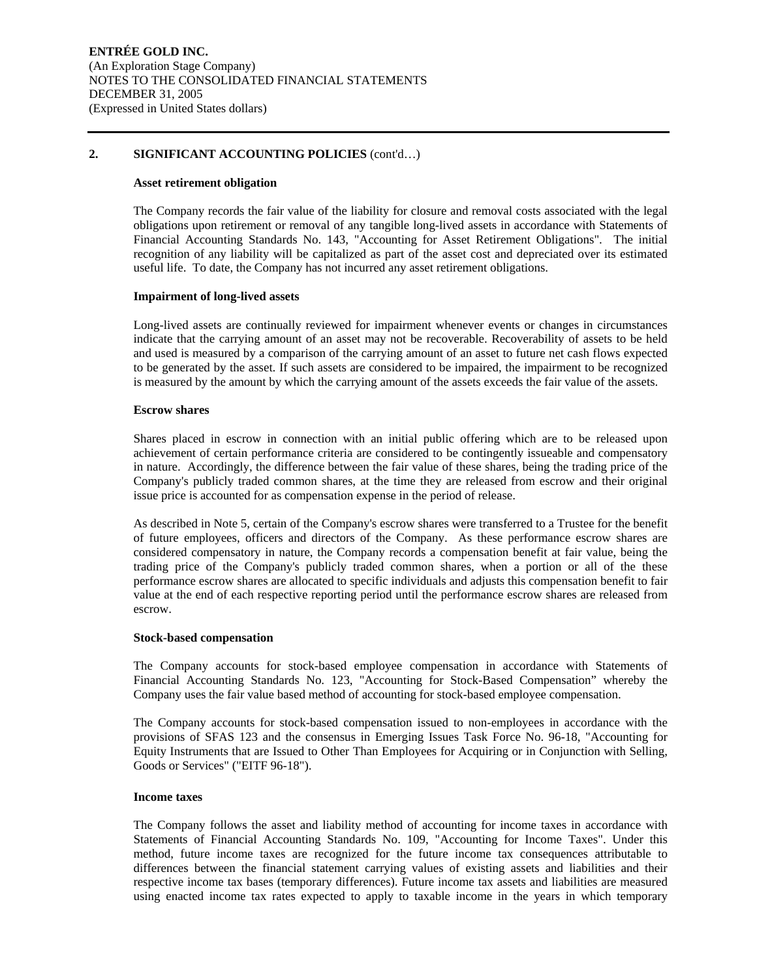## **2. SIGNIFICANT ACCOUNTING POLICIES** (cont'd…)

## **Asset retirement obligation**

The Company records the fair value of the liability for closure and removal costs associated with the legal obligations upon retirement or removal of any tangible long-lived assets in accordance with Statements of Financial Accounting Standards No. 143, "Accounting for Asset Retirement Obligations". The initial recognition of any liability will be capitalized as part of the asset cost and depreciated over its estimated useful life. To date, the Company has not incurred any asset retirement obligations.

## **Impairment of long-lived assets**

Long-lived assets are continually reviewed for impairment whenever events or changes in circumstances indicate that the carrying amount of an asset may not be recoverable. Recoverability of assets to be held and used is measured by a comparison of the carrying amount of an asset to future net cash flows expected to be generated by the asset. If such assets are considered to be impaired, the impairment to be recognized is measured by the amount by which the carrying amount of the assets exceeds the fair value of the assets.

## **Escrow shares**

Shares placed in escrow in connection with an initial public offering which are to be released upon achievement of certain performance criteria are considered to be contingently issueable and compensatory in nature. Accordingly, the difference between the fair value of these shares, being the trading price of the Company's publicly traded common shares, at the time they are released from escrow and their original issue price is accounted for as compensation expense in the period of release.

As described in Note 5, certain of the Company's escrow shares were transferred to a Trustee for the benefit of future employees, officers and directors of the Company. As these performance escrow shares are considered compensatory in nature, the Company records a compensation benefit at fair value, being the trading price of the Company's publicly traded common shares, when a portion or all of the these performance escrow shares are allocated to specific individuals and adjusts this compensation benefit to fair value at the end of each respective reporting period until the performance escrow shares are released from escrow.

## **Stock-based compensation**

The Company accounts for stock-based employee compensation in accordance with Statements of Financial Accounting Standards No. 123, "Accounting for Stock-Based Compensation" whereby the Company uses the fair value based method of accounting for stock-based employee compensation.

The Company accounts for stock-based compensation issued to non-employees in accordance with the provisions of SFAS 123 and the consensus in Emerging Issues Task Force No. 96-18, "Accounting for Equity Instruments that are Issued to Other Than Employees for Acquiring or in Conjunction with Selling, Goods or Services" ("EITF 96-18").

## **Income taxes**

The Company follows the asset and liability method of accounting for income taxes in accordance with Statements of Financial Accounting Standards No. 109, "Accounting for Income Taxes". Under this method, future income taxes are recognized for the future income tax consequences attributable to differences between the financial statement carrying values of existing assets and liabilities and their respective income tax bases (temporary differences). Future income tax assets and liabilities are measured using enacted income tax rates expected to apply to taxable income in the years in which temporary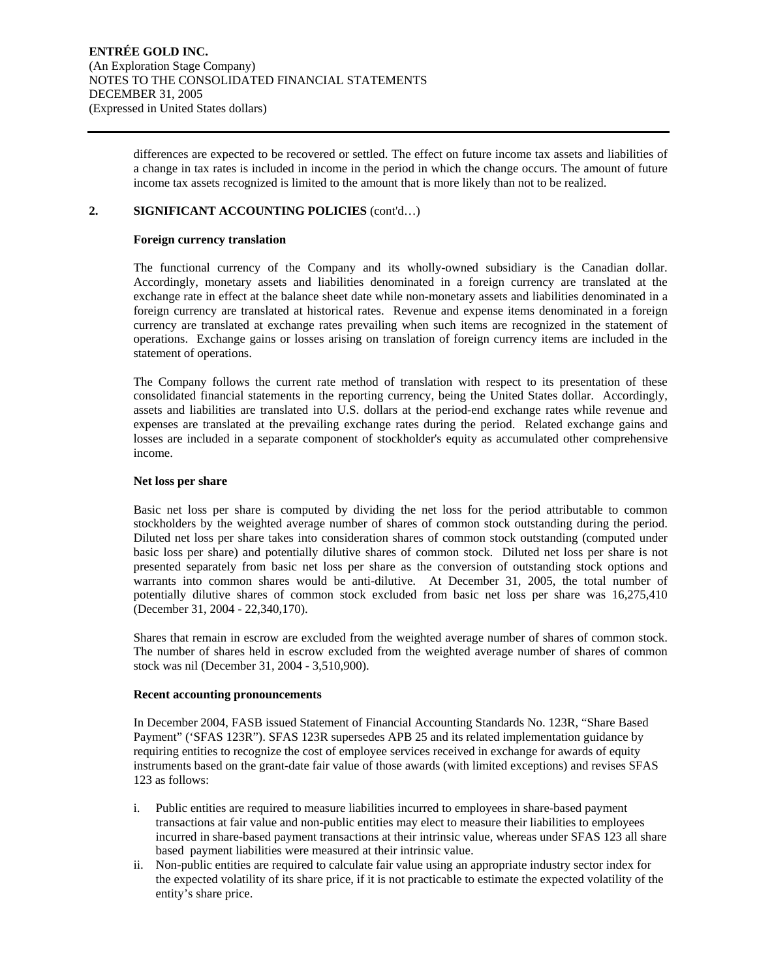differences are expected to be recovered or settled. The effect on future income tax assets and liabilities of a change in tax rates is included in income in the period in which the change occurs. The amount of future income tax assets recognized is limited to the amount that is more likely than not to be realized.

## **2. SIGNIFICANT ACCOUNTING POLICIES** (cont'd…)

## **Foreign currency translation**

The functional currency of the Company and its wholly-owned subsidiary is the Canadian dollar. Accordingly, monetary assets and liabilities denominated in a foreign currency are translated at the exchange rate in effect at the balance sheet date while non-monetary assets and liabilities denominated in a foreign currency are translated at historical rates. Revenue and expense items denominated in a foreign currency are translated at exchange rates prevailing when such items are recognized in the statement of operations. Exchange gains or losses arising on translation of foreign currency items are included in the statement of operations.

The Company follows the current rate method of translation with respect to its presentation of these consolidated financial statements in the reporting currency, being the United States dollar. Accordingly, assets and liabilities are translated into U.S. dollars at the period-end exchange rates while revenue and expenses are translated at the prevailing exchange rates during the period. Related exchange gains and losses are included in a separate component of stockholder's equity as accumulated other comprehensive income.

#### **Net loss per share**

Basic net loss per share is computed by dividing the net loss for the period attributable to common stockholders by the weighted average number of shares of common stock outstanding during the period. Diluted net loss per share takes into consideration shares of common stock outstanding (computed under basic loss per share) and potentially dilutive shares of common stock. Diluted net loss per share is not presented separately from basic net loss per share as the conversion of outstanding stock options and warrants into common shares would be anti-dilutive. At December 31, 2005, the total number of potentially dilutive shares of common stock excluded from basic net loss per share was 16,275,410 (December 31, 2004 - 22,340,170).

Shares that remain in escrow are excluded from the weighted average number of shares of common stock. The number of shares held in escrow excluded from the weighted average number of shares of common stock was nil (December 31, 2004 - 3,510,900).

#### **Recent accounting pronouncements**

In December 2004, FASB issued Statement of Financial Accounting Standards No. 123R, "Share Based Payment" ('SFAS 123R"). SFAS 123R supersedes APB 25 and its related implementation guidance by requiring entities to recognize the cost of employee services received in exchange for awards of equity instruments based on the grant-date fair value of those awards (with limited exceptions) and revises SFAS 123 as follows:

- i. Public entities are required to measure liabilities incurred to employees in share-based payment transactions at fair value and non-public entities may elect to measure their liabilities to employees incurred in share-based payment transactions at their intrinsic value, whereas under SFAS 123 all share based payment liabilities were measured at their intrinsic value.
- ii. Non-public entities are required to calculate fair value using an appropriate industry sector index for the expected volatility of its share price, if it is not practicable to estimate the expected volatility of the entity's share price.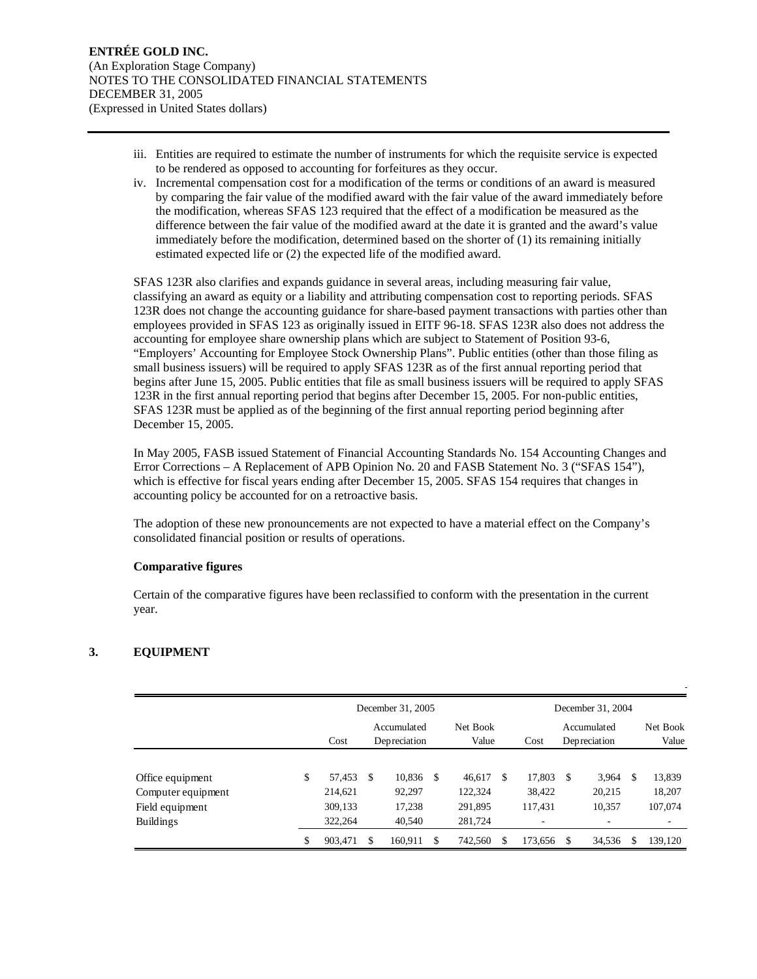- iii. Entities are required to estimate the number of instruments for which the requisite service is expected to be rendered as opposed to accounting for forfeitures as they occur.
- iv. Incremental compensation cost for a modification of the terms or conditions of an award is measured by comparing the fair value of the modified award with the fair value of the award immediately before the modification, whereas SFAS 123 required that the effect of a modification be measured as the difference between the fair value of the modified award at the date it is granted and the award's value immediately before the modification, determined based on the shorter of (1) its remaining initially estimated expected life or (2) the expected life of the modified award.

SFAS 123R also clarifies and expands guidance in several areas, including measuring fair value, classifying an award as equity or a liability and attributing compensation cost to reporting periods. SFAS 123R does not change the accounting guidance for share-based payment transactions with parties other than employees provided in SFAS 123 as originally issued in EITF 96-18. SFAS 123R also does not address the accounting for employee share ownership plans which are subject to Statement of Position 93-6, "Employers' Accounting for Employee Stock Ownership Plans". Public entities (other than those filing as small business issuers) will be required to apply SFAS 123R as of the first annual reporting period that begins after June 15, 2005. Public entities that file as small business issuers will be required to apply SFAS 123R in the first annual reporting period that begins after December 15, 2005. For non-public entities, SFAS 123R must be applied as of the beginning of the first annual reporting period beginning after December 15, 2005.

In May 2005, FASB issued Statement of Financial Accounting Standards No. 154 Accounting Changes and Error Corrections – A Replacement of APB Opinion No. 20 and FASB Statement No. 3 ("SFAS 154"), which is effective for fiscal years ending after December 15, 2005. SFAS 154 requires that changes in accounting policy be accounted for on a retroactive basis.

The adoption of these new pronouncements are not expected to have a material effect on the Company's consolidated financial position or results of operations.

# **Comparative figures**

Certain of the comparative figures have been reclassified to conform with the presentation in the current year.

# **3. EQUIPMENT**

|                                                                               | December 31, 2005 |                                         |               |                                      |      |                                         |     |                                  | December 31, 2004 |                                                       |   |                                                         |
|-------------------------------------------------------------------------------|-------------------|-----------------------------------------|---------------|--------------------------------------|------|-----------------------------------------|-----|----------------------------------|-------------------|-------------------------------------------------------|---|---------------------------------------------------------|
|                                                                               |                   | Cost                                    |               | Accumulated<br>Depreciation          |      | Net Book<br>Value                       |     | Cost                             |                   | Accumulated<br>Depreciation                           |   | Net Book<br>Value                                       |
| Office equipment<br>Computer equipment<br>Field equipment<br><b>Buildings</b> | \$                | 57,453<br>214,621<br>309,133<br>322,264 | <sup>\$</sup> | 10,836<br>92,297<br>17,238<br>40,540 | - \$ | 46,617<br>122,324<br>291,895<br>281,724 | \$. | 17,803<br>38,422<br>117,431<br>٠ | S                 | 3,964<br>20,215<br>10,357<br>$\overline{\phantom{a}}$ | S | 13,839<br>18,207<br>107,074<br>$\overline{\phantom{a}}$ |
|                                                                               | \$                | 903.471                                 | \$.           | 160.911                              | £.   | 742,560                                 |     | 173.656                          | -S                | 34,536                                                | S | 139,120                                                 |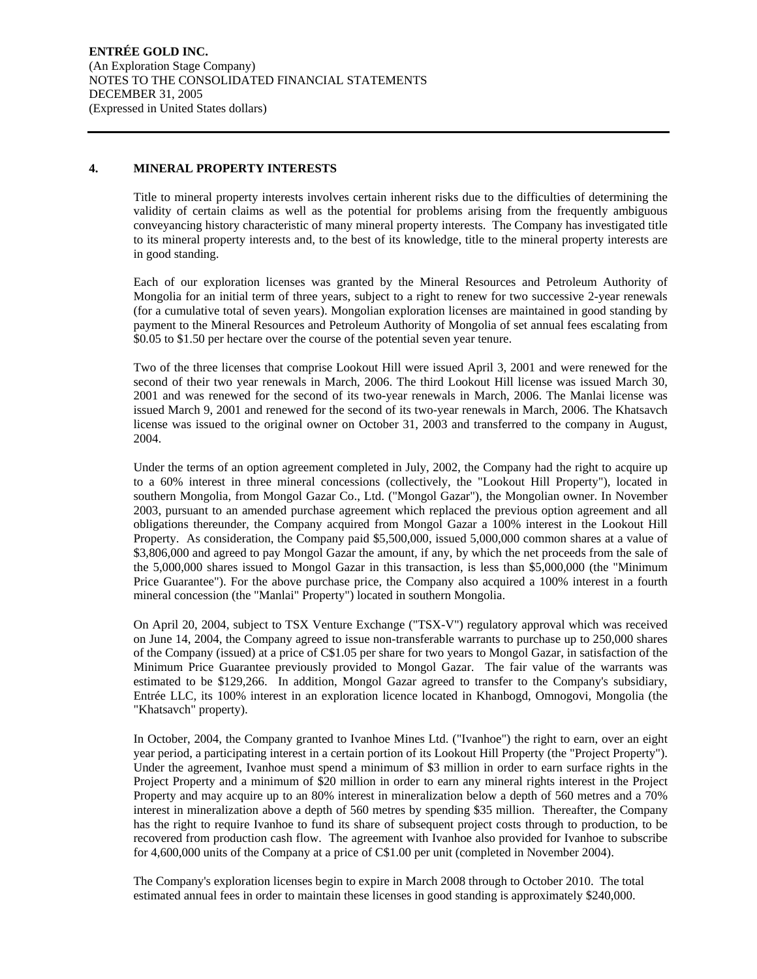## **4. MINERAL PROPERTY INTERESTS**

Title to mineral property interests involves certain inherent risks due to the difficulties of determining the validity of certain claims as well as the potential for problems arising from the frequently ambiguous conveyancing history characteristic of many mineral property interests. The Company has investigated title to its mineral property interests and, to the best of its knowledge, title to the mineral property interests are in good standing.

Each of our exploration licenses was granted by the Mineral Resources and Petroleum Authority of Mongolia for an initial term of three years, subject to a right to renew for two successive 2-year renewals (for a cumulative total of seven years). Mongolian exploration licenses are maintained in good standing by payment to the Mineral Resources and Petroleum Authority of Mongolia of set annual fees escalating from \$0.05 to \$1.50 per hectare over the course of the potential seven year tenure.

Two of the three licenses that comprise Lookout Hill were issued April 3, 2001 and were renewed for the second of their two year renewals in March, 2006. The third Lookout Hill license was issued March 30, 2001 and was renewed for the second of its two-year renewals in March, 2006. The Manlai license was issued March 9, 2001 and renewed for the second of its two-year renewals in March, 2006. The Khatsavch license was issued to the original owner on October 31, 2003 and transferred to the company in August, 2004.

Under the terms of an option agreement completed in July, 2002, the Company had the right to acquire up to a 60% interest in three mineral concessions (collectively, the "Lookout Hill Property"), located in southern Mongolia, from Mongol Gazar Co., Ltd. ("Mongol Gazar"), the Mongolian owner. In November 2003, pursuant to an amended purchase agreement which replaced the previous option agreement and all obligations thereunder, the Company acquired from Mongol Gazar a 100% interest in the Lookout Hill Property. As consideration, the Company paid \$5,500,000, issued 5,000,000 common shares at a value of \$3,806,000 and agreed to pay Mongol Gazar the amount, if any, by which the net proceeds from the sale of the 5,000,000 shares issued to Mongol Gazar in this transaction, is less than \$5,000,000 (the "Minimum Price Guarantee"). For the above purchase price, the Company also acquired a 100% interest in a fourth mineral concession (the "Manlai" Property") located in southern Mongolia.

On April 20, 2004, subject to TSX Venture Exchange ("TSX-V") regulatory approval which was received on June 14, 2004, the Company agreed to issue non-transferable warrants to purchase up to 250,000 shares of the Company (issued) at a price of C\$1.05 per share for two years to Mongol Gazar, in satisfaction of the Minimum Price Guarantee previously provided to Mongol Gazar. The fair value of the warrants was estimated to be \$129,266. In addition, Mongol Gazar agreed to transfer to the Company's subsidiary, Entrée LLC, its 100% interest in an exploration licence located in Khanbogd, Omnogovi, Mongolia (the "Khatsavch" property).

In October, 2004, the Company granted to Ivanhoe Mines Ltd. ("Ivanhoe") the right to earn, over an eight year period, a participating interest in a certain portion of its Lookout Hill Property (the "Project Property"). Under the agreement, Ivanhoe must spend a minimum of \$3 million in order to earn surface rights in the Project Property and a minimum of \$20 million in order to earn any mineral rights interest in the Project Property and may acquire up to an 80% interest in mineralization below a depth of 560 metres and a 70% interest in mineralization above a depth of 560 metres by spending \$35 million. Thereafter, the Company has the right to require Ivanhoe to fund its share of subsequent project costs through to production, to be recovered from production cash flow. The agreement with Ivanhoe also provided for Ivanhoe to subscribe for 4,600,000 units of the Company at a price of C\$1.00 per unit (completed in November 2004).

The Company's exploration licenses begin to expire in March 2008 through to October 2010. The total estimated annual fees in order to maintain these licenses in good standing is approximately \$240,000.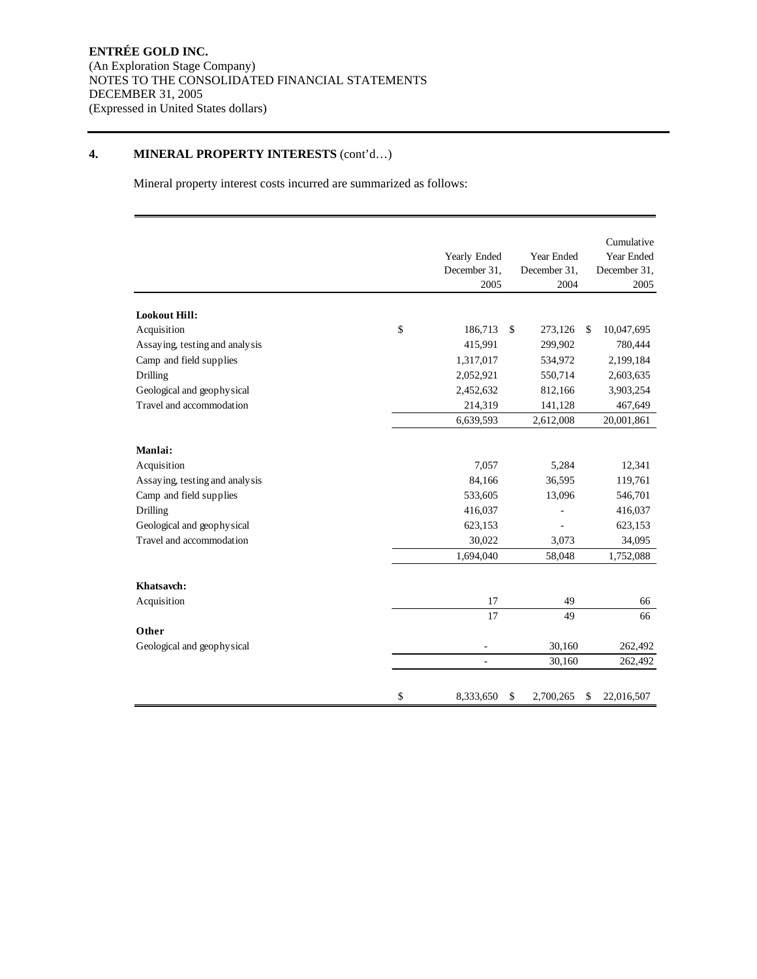# **4. MINERAL PROPERTY INTERESTS** (cont'd…)

Mineral property interest costs incurred are summarized as follows:

|                                                                                                                                                           | Yearly Ended<br>December 31,<br>2005                                    | Year Ended<br>December 31,<br>2004           |               | Cumulative<br>Year Ended<br>December 31,<br>2005                          |
|-----------------------------------------------------------------------------------------------------------------------------------------------------------|-------------------------------------------------------------------------|----------------------------------------------|---------------|---------------------------------------------------------------------------|
| <b>Lookout Hill:</b>                                                                                                                                      |                                                                         |                                              |               |                                                                           |
| Acquisition                                                                                                                                               | \$<br>186,713                                                           | \$<br>273,126                                | <sup>\$</sup> | 10,047,695                                                                |
| Assaying, testing and analysis                                                                                                                            | 415,991                                                                 | 299,902                                      |               | 780,444                                                                   |
| Camp and field supplies                                                                                                                                   | 1,317,017                                                               | 534,972                                      |               | 2,199,184                                                                 |
| Drilling                                                                                                                                                  | 2,052,921                                                               | 550,714                                      |               | 2,603,635                                                                 |
| Geological and geophysical                                                                                                                                | 2,452,632                                                               | 812,166                                      |               | 3,903,254                                                                 |
| Travel and accommodation                                                                                                                                  | 214,319                                                                 | 141,128                                      |               | 467,649                                                                   |
|                                                                                                                                                           | 6,639,593                                                               | 2,612,008                                    |               | 20,001,861                                                                |
| Manlai:<br>Acquisition<br>Assaying, testing and analysis<br>Camp and field supplies<br>Drilling<br>Geological and geophysical<br>Travel and accommodation | 7,057<br>84,166<br>533,605<br>416,037<br>623,153<br>30,022<br>1,694,040 | 5,284<br>36,595<br>13,096<br>3,073<br>58,048 |               | 12,341<br>119,761<br>546,701<br>416,037<br>623,153<br>34,095<br>1,752,088 |
| Khatsavch:                                                                                                                                                |                                                                         |                                              |               |                                                                           |
| Acquisition                                                                                                                                               | 17                                                                      | 49                                           |               | 66                                                                        |
|                                                                                                                                                           | 17                                                                      | 49                                           |               | 66                                                                        |
| Other                                                                                                                                                     |                                                                         |                                              |               |                                                                           |
| Geological and geophysical                                                                                                                                |                                                                         | 30,160                                       |               | 262,492                                                                   |
|                                                                                                                                                           | $\qquad \qquad \blacksquare$                                            | 30,160                                       |               | 262,492                                                                   |
|                                                                                                                                                           | \$<br>8,333,650                                                         | \$<br>2,700,265                              | \$            | 22,016,507                                                                |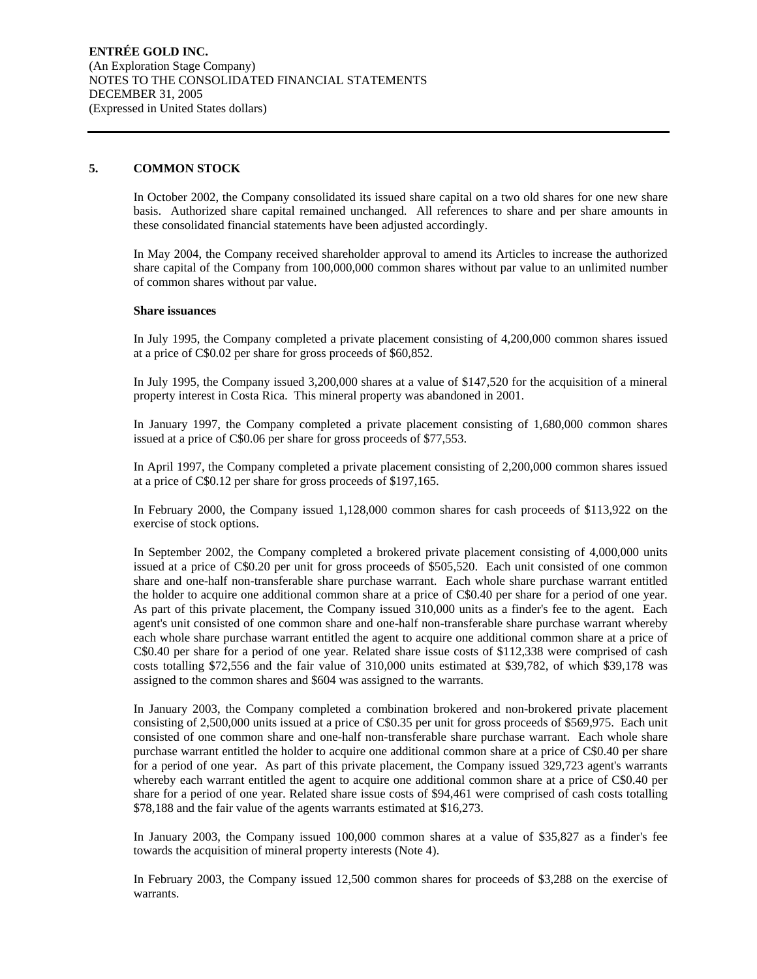## **5. COMMON STOCK**

In October 2002, the Company consolidated its issued share capital on a two old shares for one new share basis. Authorized share capital remained unchanged. All references to share and per share amounts in these consolidated financial statements have been adjusted accordingly.

In May 2004, the Company received shareholder approval to amend its Articles to increase the authorized share capital of the Company from 100,000,000 common shares without par value to an unlimited number of common shares without par value.

## **Share issuances**

In July 1995, the Company completed a private placement consisting of 4,200,000 common shares issued at a price of C\$0.02 per share for gross proceeds of \$60,852.

In July 1995, the Company issued 3,200,000 shares at a value of \$147,520 for the acquisition of a mineral property interest in Costa Rica. This mineral property was abandoned in 2001.

In January 1997, the Company completed a private placement consisting of 1,680,000 common shares issued at a price of C\$0.06 per share for gross proceeds of \$77,553.

In April 1997, the Company completed a private placement consisting of 2,200,000 common shares issued at a price of C\$0.12 per share for gross proceeds of \$197,165.

In February 2000, the Company issued 1,128,000 common shares for cash proceeds of \$113,922 on the exercise of stock options.

In September 2002, the Company completed a brokered private placement consisting of 4,000,000 units issued at a price of C\$0.20 per unit for gross proceeds of \$505,520. Each unit consisted of one common share and one-half non-transferable share purchase warrant. Each whole share purchase warrant entitled the holder to acquire one additional common share at a price of C\$0.40 per share for a period of one year. As part of this private placement, the Company issued 310,000 units as a finder's fee to the agent. Each agent's unit consisted of one common share and one-half non-transferable share purchase warrant whereby each whole share purchase warrant entitled the agent to acquire one additional common share at a price of C\$0.40 per share for a period of one year. Related share issue costs of \$112,338 were comprised of cash costs totalling \$72,556 and the fair value of 310,000 units estimated at \$39,782, of which \$39,178 was assigned to the common shares and \$604 was assigned to the warrants.

In January 2003, the Company completed a combination brokered and non-brokered private placement consisting of 2,500,000 units issued at a price of C\$0.35 per unit for gross proceeds of \$569,975. Each unit consisted of one common share and one-half non-transferable share purchase warrant. Each whole share purchase warrant entitled the holder to acquire one additional common share at a price of C\$0.40 per share for a period of one year. As part of this private placement, the Company issued 329,723 agent's warrants whereby each warrant entitled the agent to acquire one additional common share at a price of C\$0.40 per share for a period of one year. Related share issue costs of \$94,461 were comprised of cash costs totalling \$78,188 and the fair value of the agents warrants estimated at \$16,273.

In January 2003, the Company issued 100,000 common shares at a value of \$35,827 as a finder's fee towards the acquisition of mineral property interests (Note 4).

In February 2003, the Company issued 12,500 common shares for proceeds of \$3,288 on the exercise of warrants.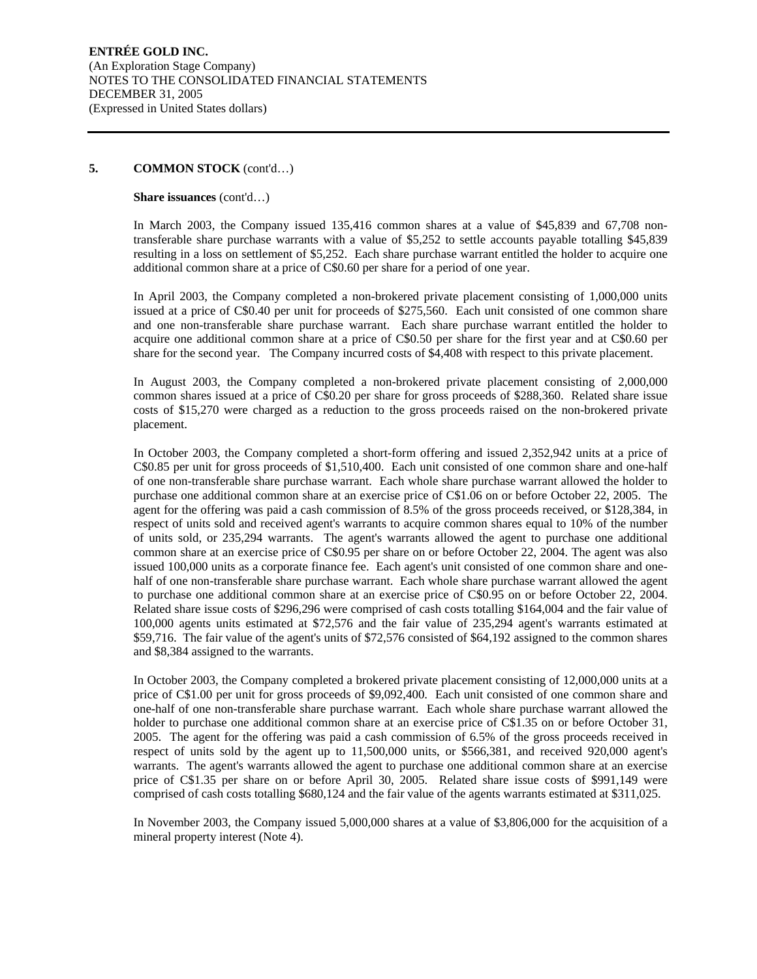## **Share issuances** (cont'd…)

In March 2003, the Company issued 135,416 common shares at a value of \$45,839 and 67,708 nontransferable share purchase warrants with a value of \$5,252 to settle accounts payable totalling \$45,839 resulting in a loss on settlement of \$5,252. Each share purchase warrant entitled the holder to acquire one additional common share at a price of C\$0.60 per share for a period of one year.

In April 2003, the Company completed a non-brokered private placement consisting of 1,000,000 units issued at a price of C\$0.40 per unit for proceeds of \$275,560. Each unit consisted of one common share and one non-transferable share purchase warrant. Each share purchase warrant entitled the holder to acquire one additional common share at a price of C\$0.50 per share for the first year and at C\$0.60 per share for the second year. The Company incurred costs of \$4,408 with respect to this private placement.

In August 2003, the Company completed a non-brokered private placement consisting of 2,000,000 common shares issued at a price of C\$0.20 per share for gross proceeds of \$288,360. Related share issue costs of \$15,270 were charged as a reduction to the gross proceeds raised on the non-brokered private placement.

In October 2003, the Company completed a short-form offering and issued 2,352,942 units at a price of C\$0.85 per unit for gross proceeds of \$1,510,400. Each unit consisted of one common share and one-half of one non-transferable share purchase warrant. Each whole share purchase warrant allowed the holder to purchase one additional common share at an exercise price of C\$1.06 on or before October 22, 2005. The agent for the offering was paid a cash commission of 8.5% of the gross proceeds received, or \$128,384, in respect of units sold and received agent's warrants to acquire common shares equal to 10% of the number of units sold, or 235,294 warrants. The agent's warrants allowed the agent to purchase one additional common share at an exercise price of C\$0.95 per share on or before October 22, 2004. The agent was also issued 100,000 units as a corporate finance fee. Each agent's unit consisted of one common share and onehalf of one non-transferable share purchase warrant. Each whole share purchase warrant allowed the agent to purchase one additional common share at an exercise price of C\$0.95 on or before October 22, 2004. Related share issue costs of \$296,296 were comprised of cash costs totalling \$164,004 and the fair value of 100,000 agents units estimated at \$72,576 and the fair value of 235,294 agent's warrants estimated at \$59,716. The fair value of the agent's units of \$72,576 consisted of \$64,192 assigned to the common shares and \$8,384 assigned to the warrants.

In October 2003, the Company completed a brokered private placement consisting of 12,000,000 units at a price of C\$1.00 per unit for gross proceeds of \$9,092,400. Each unit consisted of one common share and one-half of one non-transferable share purchase warrant. Each whole share purchase warrant allowed the holder to purchase one additional common share at an exercise price of C\$1.35 on or before October 31, 2005. The agent for the offering was paid a cash commission of 6.5% of the gross proceeds received in respect of units sold by the agent up to 11,500,000 units, or \$566,381, and received 920,000 agent's warrants. The agent's warrants allowed the agent to purchase one additional common share at an exercise price of C\$1.35 per share on or before April 30, 2005. Related share issue costs of \$991,149 were comprised of cash costs totalling \$680,124 and the fair value of the agents warrants estimated at \$311,025.

In November 2003, the Company issued 5,000,000 shares at a value of \$3,806,000 for the acquisition of a mineral property interest (Note 4).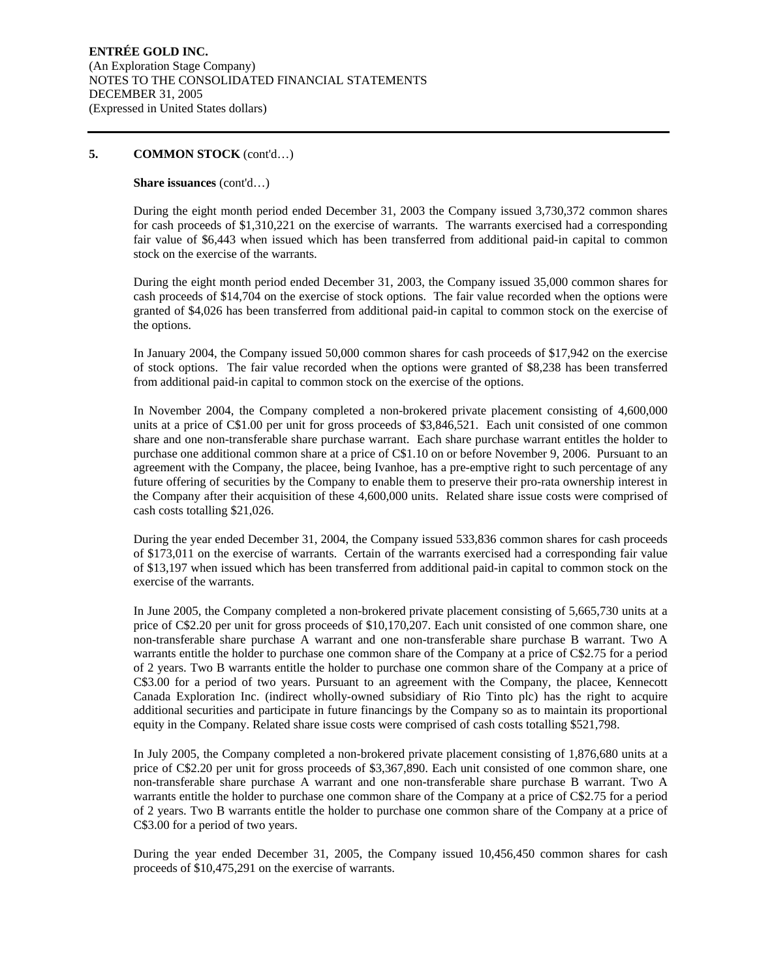## **Share issuances** (cont'd…)

During the eight month period ended December 31, 2003 the Company issued 3,730,372 common shares for cash proceeds of \$1,310,221 on the exercise of warrants. The warrants exercised had a corresponding fair value of \$6,443 when issued which has been transferred from additional paid-in capital to common stock on the exercise of the warrants.

During the eight month period ended December 31, 2003, the Company issued 35,000 common shares for cash proceeds of \$14,704 on the exercise of stock options. The fair value recorded when the options were granted of \$4,026 has been transferred from additional paid-in capital to common stock on the exercise of the options.

In January 2004, the Company issued 50,000 common shares for cash proceeds of \$17,942 on the exercise of stock options. The fair value recorded when the options were granted of \$8,238 has been transferred from additional paid-in capital to common stock on the exercise of the options.

In November 2004, the Company completed a non-brokered private placement consisting of 4,600,000 units at a price of C\$1.00 per unit for gross proceeds of \$3,846,521. Each unit consisted of one common share and one non-transferable share purchase warrant. Each share purchase warrant entitles the holder to purchase one additional common share at a price of C\$1.10 on or before November 9, 2006. Pursuant to an agreement with the Company, the placee, being Ivanhoe, has a pre-emptive right to such percentage of any future offering of securities by the Company to enable them to preserve their pro-rata ownership interest in the Company after their acquisition of these 4,600,000 units. Related share issue costs were comprised of cash costs totalling \$21,026.

During the year ended December 31, 2004, the Company issued 533,836 common shares for cash proceeds of \$173,011 on the exercise of warrants. Certain of the warrants exercised had a corresponding fair value of \$13,197 when issued which has been transferred from additional paid-in capital to common stock on the exercise of the warrants.

In June 2005, the Company completed a non-brokered private placement consisting of 5,665,730 units at a price of C\$2.20 per unit for gross proceeds of \$10,170,207. Each unit consisted of one common share, one non-transferable share purchase A warrant and one non-transferable share purchase B warrant. Two A warrants entitle the holder to purchase one common share of the Company at a price of C\$2.75 for a period of 2 years. Two B warrants entitle the holder to purchase one common share of the Company at a price of C\$3.00 for a period of two years. Pursuant to an agreement with the Company, the placee, Kennecott Canada Exploration Inc. (indirect wholly-owned subsidiary of Rio Tinto plc) has the right to acquire additional securities and participate in future financings by the Company so as to maintain its proportional equity in the Company. Related share issue costs were comprised of cash costs totalling \$521,798.

In July 2005, the Company completed a non-brokered private placement consisting of 1,876,680 units at a price of C\$2.20 per unit for gross proceeds of \$3,367,890. Each unit consisted of one common share, one non-transferable share purchase A warrant and one non-transferable share purchase B warrant. Two A warrants entitle the holder to purchase one common share of the Company at a price of C\$2.75 for a period of 2 years. Two B warrants entitle the holder to purchase one common share of the Company at a price of C\$3.00 for a period of two years.

During the year ended December 31, 2005, the Company issued 10,456,450 common shares for cash proceeds of \$10,475,291 on the exercise of warrants.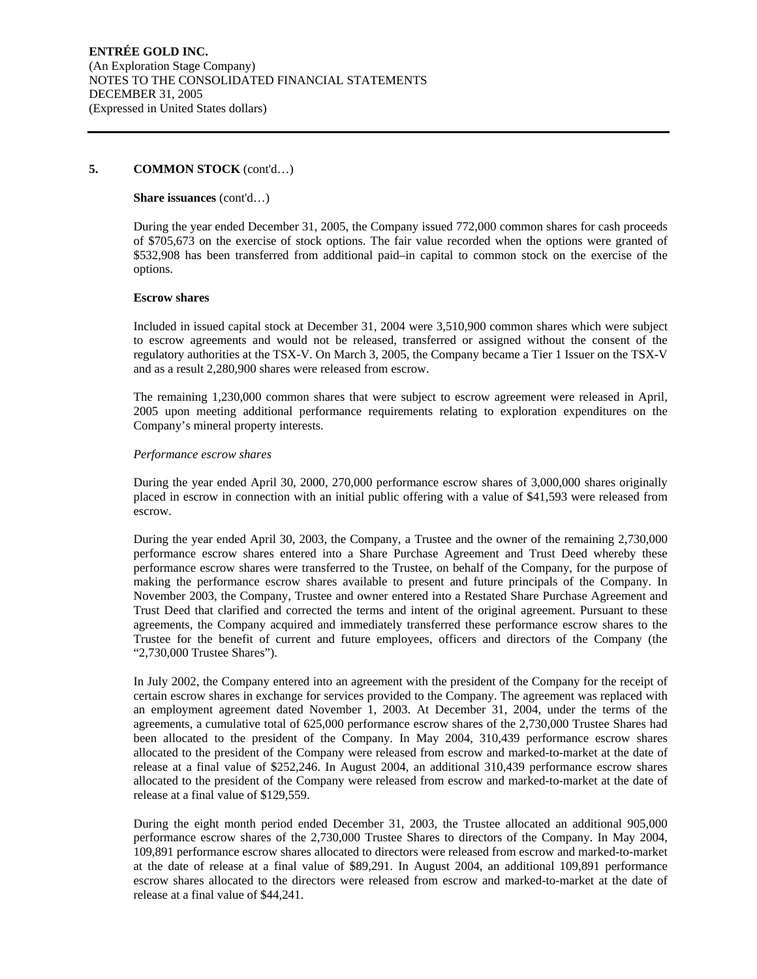#### **Share issuances** (cont'd…)

During the year ended December 31, 2005, the Company issued 772,000 common shares for cash proceeds of \$705,673 on the exercise of stock options. The fair value recorded when the options were granted of \$532,908 has been transferred from additional paid–in capital to common stock on the exercise of the options.

## **Escrow shares**

Included in issued capital stock at December 31, 2004 were 3,510,900 common shares which were subject to escrow agreements and would not be released, transferred or assigned without the consent of the regulatory authorities at the TSX-V. On March 3, 2005, the Company became a Tier 1 Issuer on the TSX-V and as a result 2,280,900 shares were released from escrow.

The remaining 1,230,000 common shares that were subject to escrow agreement were released in April, 2005 upon meeting additional performance requirements relating to exploration expenditures on the Company's mineral property interests.

#### *Performance escrow shares*

During the year ended April 30, 2000, 270,000 performance escrow shares of 3,000,000 shares originally placed in escrow in connection with an initial public offering with a value of \$41,593 were released from escrow.

During the year ended April 30, 2003, the Company, a Trustee and the owner of the remaining 2,730,000 performance escrow shares entered into a Share Purchase Agreement and Trust Deed whereby these performance escrow shares were transferred to the Trustee, on behalf of the Company, for the purpose of making the performance escrow shares available to present and future principals of the Company. In November 2003, the Company, Trustee and owner entered into a Restated Share Purchase Agreement and Trust Deed that clarified and corrected the terms and intent of the original agreement. Pursuant to these agreements, the Company acquired and immediately transferred these performance escrow shares to the Trustee for the benefit of current and future employees, officers and directors of the Company (the "2,730,000 Trustee Shares").

In July 2002, the Company entered into an agreement with the president of the Company for the receipt of certain escrow shares in exchange for services provided to the Company. The agreement was replaced with an employment agreement dated November 1, 2003. At December 31, 2004, under the terms of the agreements, a cumulative total of 625,000 performance escrow shares of the 2,730,000 Trustee Shares had been allocated to the president of the Company. In May 2004, 310,439 performance escrow shares allocated to the president of the Company were released from escrow and marked-to-market at the date of release at a final value of \$252,246. In August 2004, an additional 310,439 performance escrow shares allocated to the president of the Company were released from escrow and marked-to-market at the date of release at a final value of \$129,559.

During the eight month period ended December 31, 2003, the Trustee allocated an additional 905,000 performance escrow shares of the 2,730,000 Trustee Shares to directors of the Company. In May 2004, 109,891 performance escrow shares allocated to directors were released from escrow and marked-to-market at the date of release at a final value of \$89,291. In August 2004, an additional 109,891 performance escrow shares allocated to the directors were released from escrow and marked-to-market at the date of release at a final value of \$44,241.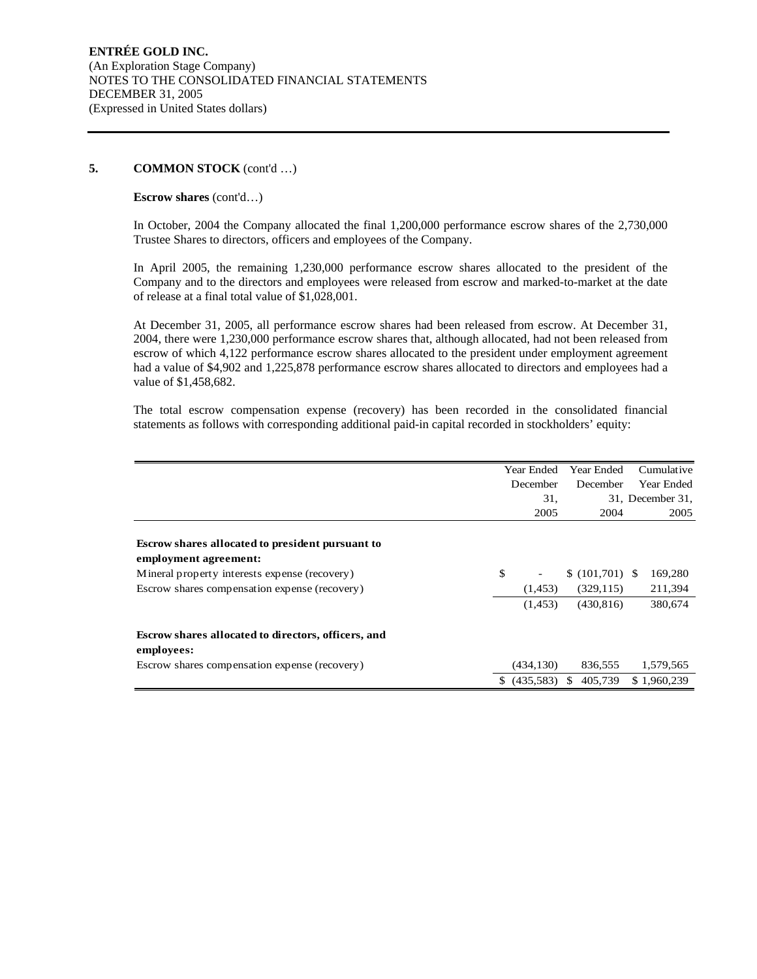## **Escrow shares** (cont'd…)

In October, 2004 the Company allocated the final 1,200,000 performance escrow shares of the 2,730,000 Trustee Shares to directors, officers and employees of the Company.

In April 2005, the remaining 1,230,000 performance escrow shares allocated to the president of the Company and to the directors and employees were released from escrow and marked-to-market at the date of release at a final total value of \$1,028,001.

At December 31, 2005, all performance escrow shares had been released from escrow. At December 31, 2004, there were 1,230,000 performance escrow shares that, although allocated, had not been released from escrow of which 4,122 performance escrow shares allocated to the president under employment agreement had a value of \$4,902 and 1,225,878 performance escrow shares allocated to directors and employees had a value of \$1,458,682.

The total escrow compensation expense (recovery) has been recorded in the consolidated financial statements as follows with corresponding additional paid-in capital recorded in stockholders' equity:

| Year Ended<br>December<br>31,<br>2005                      | Year Ended<br>December<br>2004 | Cumulative<br>Year Ended<br>31, December 31,<br>2005 |
|------------------------------------------------------------|--------------------------------|------------------------------------------------------|
|                                                            |                                |                                                      |
|                                                            |                                |                                                      |
|                                                            |                                |                                                      |
|                                                            |                                |                                                      |
|                                                            |                                |                                                      |
| <b>Escrow shares allocated to president pursuant to</b>    |                                |                                                      |
| employment agreement:                                      |                                |                                                      |
| \$.<br>Mineral property interests expense (recovery)       |                                | 169,280                                              |
| Escrow shares compensation expense (recovery)<br>(1,453)   | (329, 115)                     | 211,394                                              |
| (1, 453)                                                   | (430, 816)                     | 380,674                                              |
|                                                            |                                |                                                      |
| Escrow shares allocated to directors, officers, and        |                                |                                                      |
| employees:                                                 |                                |                                                      |
| Escrow shares compensation expense (recovery)<br>(434.130) | 836.555                        | 1,579,565                                            |
| (435,583)<br>S.                                            | 405,739<br><sup>\$</sup>       | \$1.960.239                                          |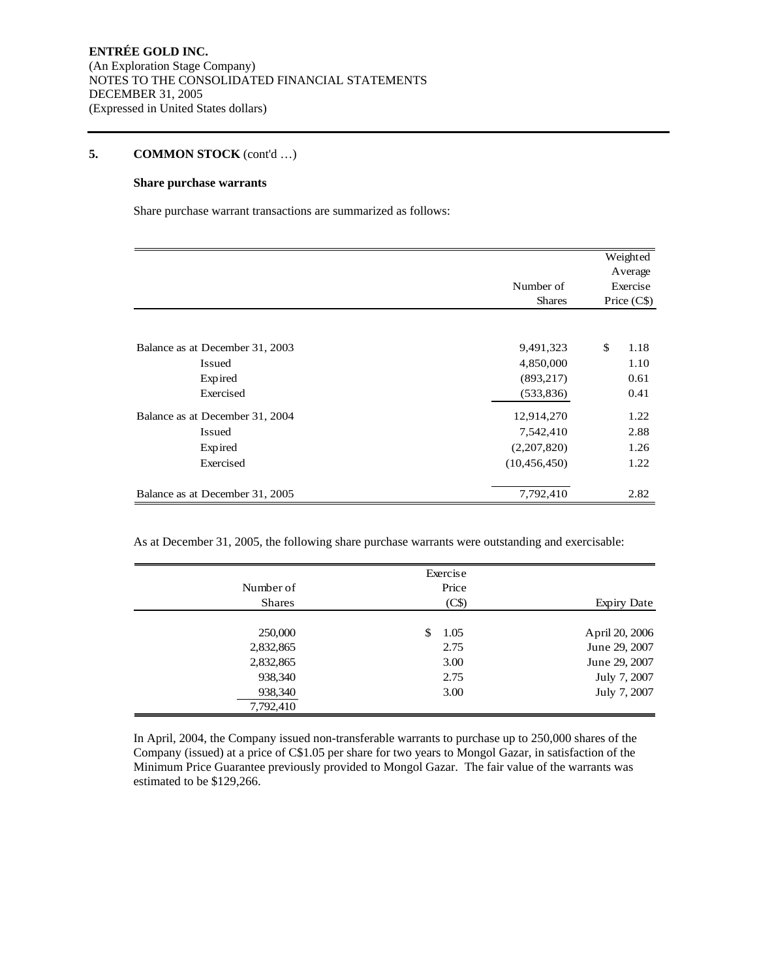## **Share purchase warrants**

Share purchase warrant transactions are summarized as follows:

|                                 |                | Weighted            |  |  |
|---------------------------------|----------------|---------------------|--|--|
|                                 |                | Average<br>Exercise |  |  |
|                                 | Number of      |                     |  |  |
|                                 | <b>Shares</b>  | Price (C\$)         |  |  |
|                                 |                |                     |  |  |
| Balance as at December 31, 2003 | 9,491,323      | \$<br>1.18          |  |  |
| Issued                          | 4,850,000      | 1.10                |  |  |
| Expired                         | (893, 217)     | 0.61                |  |  |
| Exercised                       | (533, 836)     | 0.41                |  |  |
| Balance as at December 31, 2004 | 12,914,270     | 1.22                |  |  |
| Issued                          | 7,542,410      | 2.88                |  |  |
| Expired                         | (2,207,820)    | 1.26                |  |  |
| Exercised                       | (10, 456, 450) | 1.22                |  |  |
| Balance as at December 31, 2005 | 7,792,410      | 2.82                |  |  |

As at December 31, 2005, the following share purchase warrants were outstanding and exercisable:

|               | Exercise   |                    |
|---------------|------------|--------------------|
| Number of     | Price      |                    |
| <b>Shares</b> | (C\$)      | <b>Expiry Date</b> |
| 250,000       | \$<br>1.05 | April 20, 2006     |
| 2,832,865     | 2.75       | June 29, 2007      |
| 2,832,865     | 3.00       | June 29, 2007      |
| 938,340       | 2.75       | July 7, 2007       |
| 938,340       | 3.00       | July 7, 2007       |
| 7,792,410     |            |                    |

In April, 2004, the Company issued non-transferable warrants to purchase up to 250,000 shares of the Company (issued) at a price of C\$1.05 per share for two years to Mongol Gazar, in satisfaction of the Minimum Price Guarantee previously provided to Mongol Gazar. The fair value of the warrants was estimated to be \$129,266.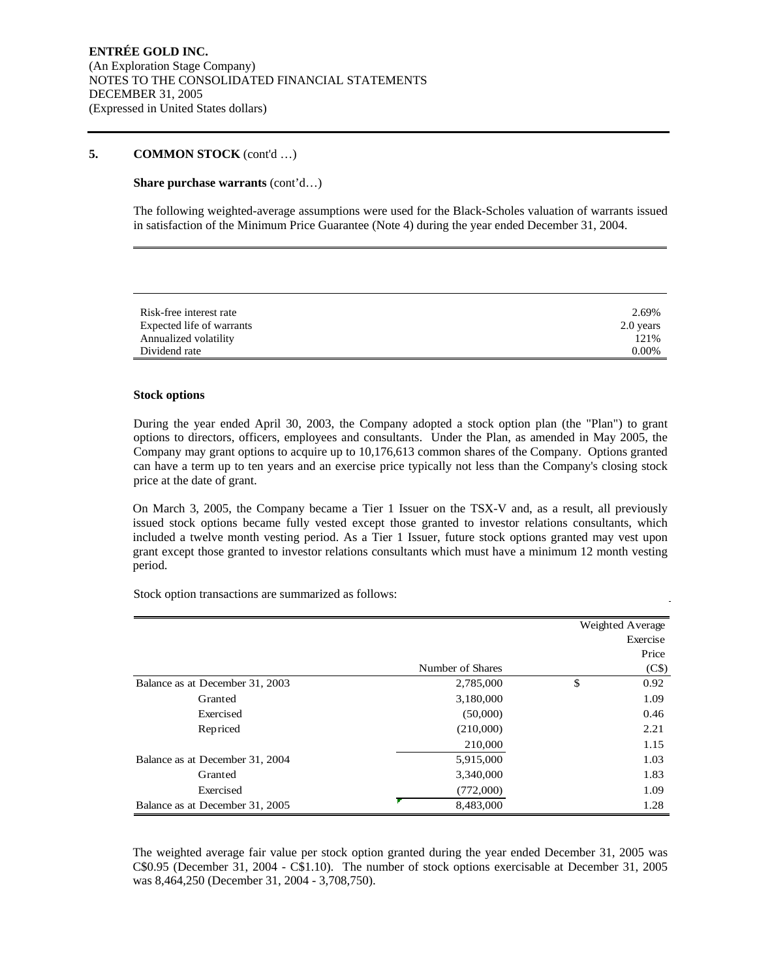## **Share purchase warrants** (cont'd…)

The following weighted-average assumptions were used for the Black-Scholes valuation of warrants issued in satisfaction of the Minimum Price Guarantee (Note 4) during the year ended December 31, 2004.

| Risk-free interest rate   | 2.69%     |
|---------------------------|-----------|
| Expected life of warrants | 2.0 years |
| Annualized volatility     | 121%      |
| Dividend rate             | $0.00\%$  |

## **Stock options**

During the year ended April 30, 2003, the Company adopted a stock option plan (the "Plan") to grant options to directors, officers, employees and consultants. Under the Plan, as amended in May 2005, the Company may grant options to acquire up to 10,176,613 common shares of the Company. Options granted can have a term up to ten years and an exercise price typically not less than the Company's closing stock price at the date of grant.

On March 3, 2005, the Company became a Tier 1 Issuer on the TSX-V and, as a result, all previously issued stock options became fully vested except those granted to investor relations consultants, which included a twelve month vesting period. As a Tier 1 Issuer, future stock options granted may vest upon grant except those granted to investor relations consultants which must have a minimum 12 month vesting period.

Stock option transactions are summarized as follows:

|                                 |                  | Weighted Average |
|---------------------------------|------------------|------------------|
|                                 |                  | Exercise         |
|                                 |                  | Price            |
|                                 | Number of Shares | (C\$)            |
| Balance as at December 31, 2003 | 2,785,000        | \$<br>0.92       |
| Granted                         | 3,180,000        | 1.09             |
| Exercised                       | (50,000)         | 0.46             |
| Repriced                        | (210,000)        | 2.21             |
|                                 | 210,000          | 1.15             |
| Balance as at December 31, 2004 | 5,915,000        | 1.03             |
| Granted                         | 3,340,000        | 1.83             |
| Exercised                       | (772,000)        | 1.09             |
| Balance as at December 31, 2005 | 8.483,000        | 1.28             |

The weighted average fair value per stock option granted during the year ended December 31, 2005 was C\$0.95 (December 31, 2004 - C\$1.10). The number of stock options exercisable at December 31, 2005 was 8,464,250 (December 31, 2004 - 3,708,750).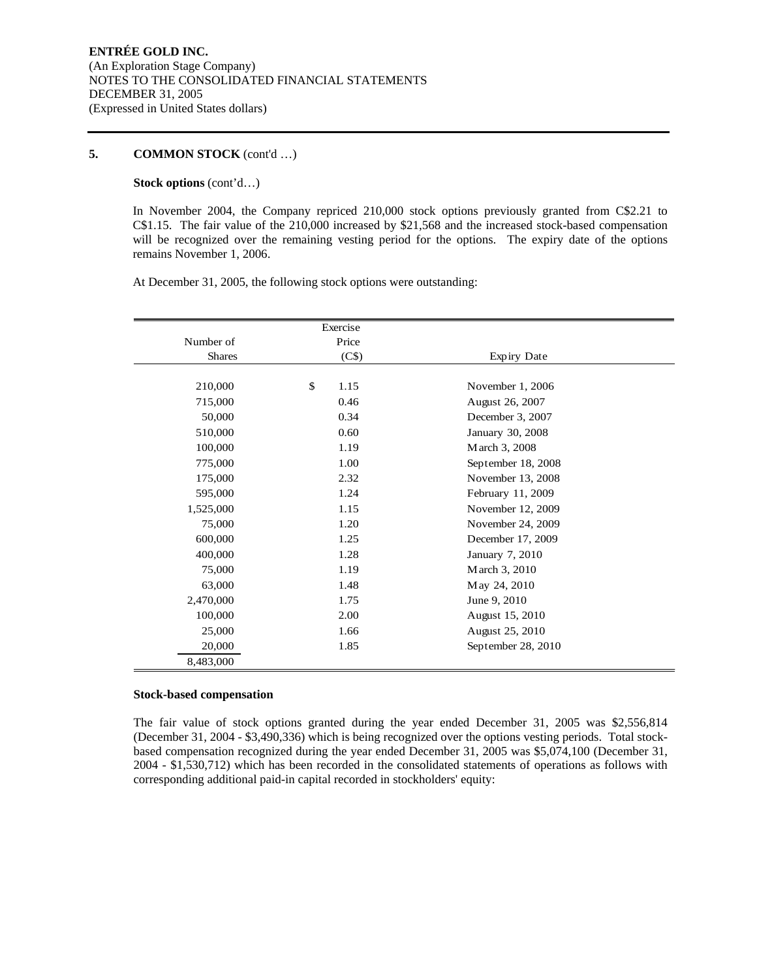## **Stock options** (cont'd…)

In November 2004, the Company repriced 210,000 stock options previously granted from C\$2.21 to C\$1.15. The fair value of the 210,000 increased by \$21,568 and the increased stock-based compensation will be recognized over the remaining vesting period for the options. The expiry date of the options remains November 1, 2006.

At December 31, 2005, the following stock options were outstanding:

|               | Exercise   |                    |  |
|---------------|------------|--------------------|--|
| Number of     | Price      |                    |  |
| <b>Shares</b> | (C\$)      | Expiry Date        |  |
|               |            |                    |  |
| 210,000       | \$<br>1.15 | November 1, 2006   |  |
| 715,000       | 0.46       | August 26, 2007    |  |
| 50,000        | 0.34       | December 3, 2007   |  |
| 510,000       | 0.60       | January 30, 2008   |  |
| 100,000       | 1.19       | March 3, 2008      |  |
| 775,000       | 1.00       | September 18, 2008 |  |
| 175,000       | 2.32       | November 13, 2008  |  |
| 595,000       | 1.24       | February 11, 2009  |  |
| 1,525,000     | 1.15       | November 12, 2009  |  |
| 75,000        | 1.20       | November 24, 2009  |  |
| 600,000       | 1.25       | December 17, 2009  |  |
| 400,000       | 1.28       | January 7, 2010    |  |
| 75,000        | 1.19       | March 3, 2010      |  |
| 63,000        | 1.48       | May 24, 2010       |  |
| 2,470,000     | 1.75       | June 9, 2010       |  |
| 100,000       | 2.00       | August 15, 2010    |  |
| 25,000        | 1.66       | August 25, 2010    |  |
| 20,000        | 1.85       | September 28, 2010 |  |
| 8,483,000     |            |                    |  |

#### **Stock-based compensation**

The fair value of stock options granted during the year ended December 31, 2005 was \$2,556,814 (December 31, 2004 - \$3,490,336) which is being recognized over the options vesting periods. Total stockbased compensation recognized during the year ended December 31, 2005 was \$5,074,100 (December 31, 2004 - \$1,530,712) which has been recorded in the consolidated statements of operations as follows with corresponding additional paid-in capital recorded in stockholders' equity: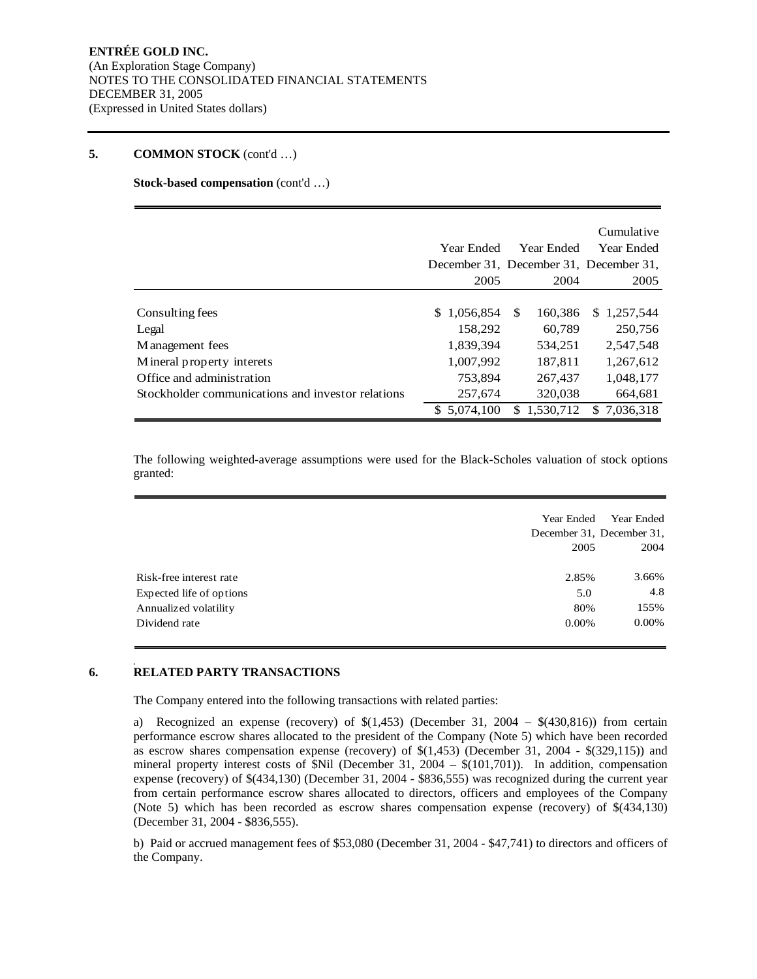**Stock-based compensation** (cont'd …)

|                                                   | Year Ended<br>2005 | Year Ended<br>2004 | Cumulative<br>Year Ended<br>December 31, December 31, December 31,<br>2005 |
|---------------------------------------------------|--------------------|--------------------|----------------------------------------------------------------------------|
| Consulting fees                                   | 1,056,854<br>S.    | \$<br>160,386      | \$1,257,544                                                                |
| Legal                                             | 158,292            | 60,789             | 250,756                                                                    |
| M anagement fees                                  | 1,839,394          | 534,251            | 2.547.548                                                                  |
| Mineral property interets                         | 1,007,992          | 187,811            | 1,267,612                                                                  |
| Office and administration                         | 753,894            | 267,437            | 1,048,177                                                                  |
| Stockholder communications and investor relations | 257,674            | 320,038            | 664,681                                                                    |
|                                                   | 5,074,100          | 1,530,712<br>S.    | 7.036.318<br>S.                                                            |

The following weighted-average assumptions were used for the Black-Scholes valuation of stock options granted:

|                          | Year Ended                | Year Ended |
|--------------------------|---------------------------|------------|
|                          | December 31, December 31, |            |
|                          | 2005                      | 2004       |
| Risk-free interest rate  | 2.85%                     | 3.66%      |
| Expected life of options | 5.0                       | 4.8        |
| Annualized volatility    | 80%                       | 155%       |
| Dividend rate            | 0.00%                     | 0.00%      |

# **6. RELATED PARTY TRANSACTIONS**

The Company entered into the following transactions with related parties:

a) Recognized an expense (recovery) of  $\{(1,453)$  (December 31, 2004 –  $(\{(430,816)$ ) from certain performance escrow shares allocated to the president of the Company (Note 5) which have been recorded as escrow shares compensation expense (recovery) of \$(1,453) (December 31, 2004 - \$(329,115)) and mineral property interest costs of  $Nil$  (December 31, 2004 –  $\{(101,701)\}$ ). In addition, compensation expense (recovery) of \$(434,130) (December 31, 2004 - \$836,555) was recognized during the current year from certain performance escrow shares allocated to directors, officers and employees of the Company (Note 5) which has been recorded as escrow shares compensation expense (recovery) of \$(434,130) (December 31, 2004 - \$836,555).

b) Paid or accrued management fees of \$53,080 (December 31, 2004 - \$47,741) to directors and officers of the Company.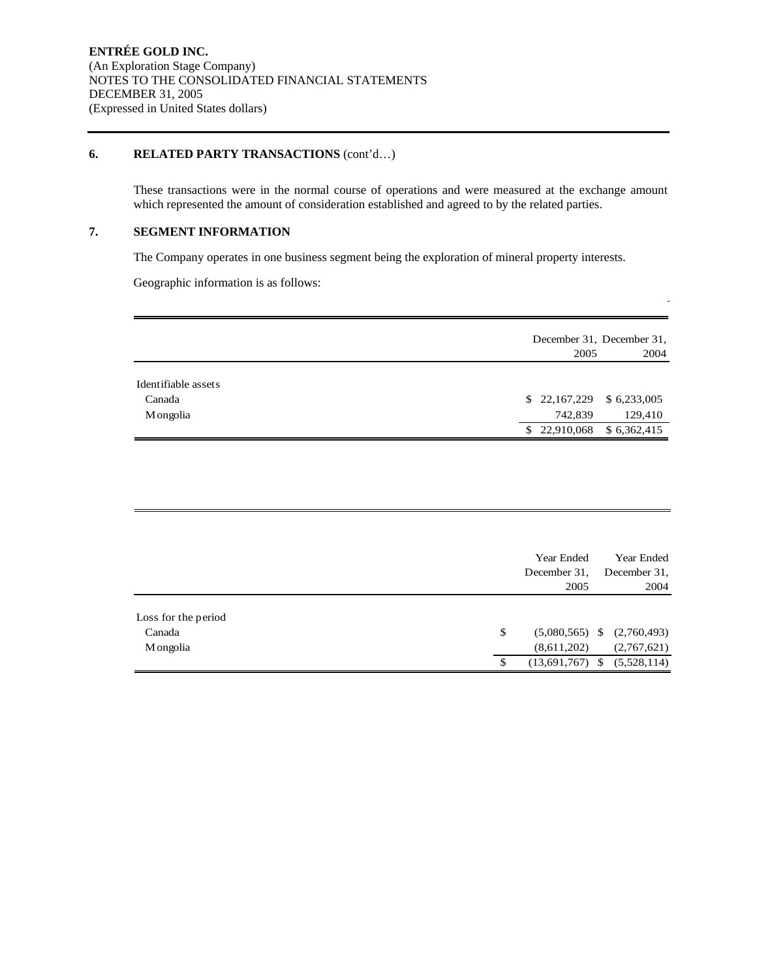## **6. RELATED PARTY TRANSACTIONS** (cont'd…)

These transactions were in the normal course of operations and were measured at the exchange amount which represented the amount of consideration established and agreed to by the related parties.

# **7. SEGMENT INFORMATION**

The Company operates in one business segment being the exploration of mineral property interests.

Geographic information is as follows:

|                               | December 31, December 31,   |      |
|-------------------------------|-----------------------------|------|
|                               | 2005                        | 2004 |
| Identifiable assets<br>Canada | \$22,167,229<br>\$6,233,005 |      |
| M ongolia                     | 742,839<br>129,410          |      |
|                               | \$22,910,068<br>\$6,362,415 |      |

 $\ddot{\phantom{1}}$ 

|                     | Year Ended<br>December 31,<br>2005 | Year Ended<br>December 31,<br>2004 |
|---------------------|------------------------------------|------------------------------------|
| Loss for the period |                                    |                                    |
| Canada              | \$                                 | $(5,080,565)$ \$ $(2,760,493)$     |
| M ongolia           | (8,611,202)                        | (2,767,621)                        |
|                     | $(13,691,767)$ \$                  | (5,528,114)                        |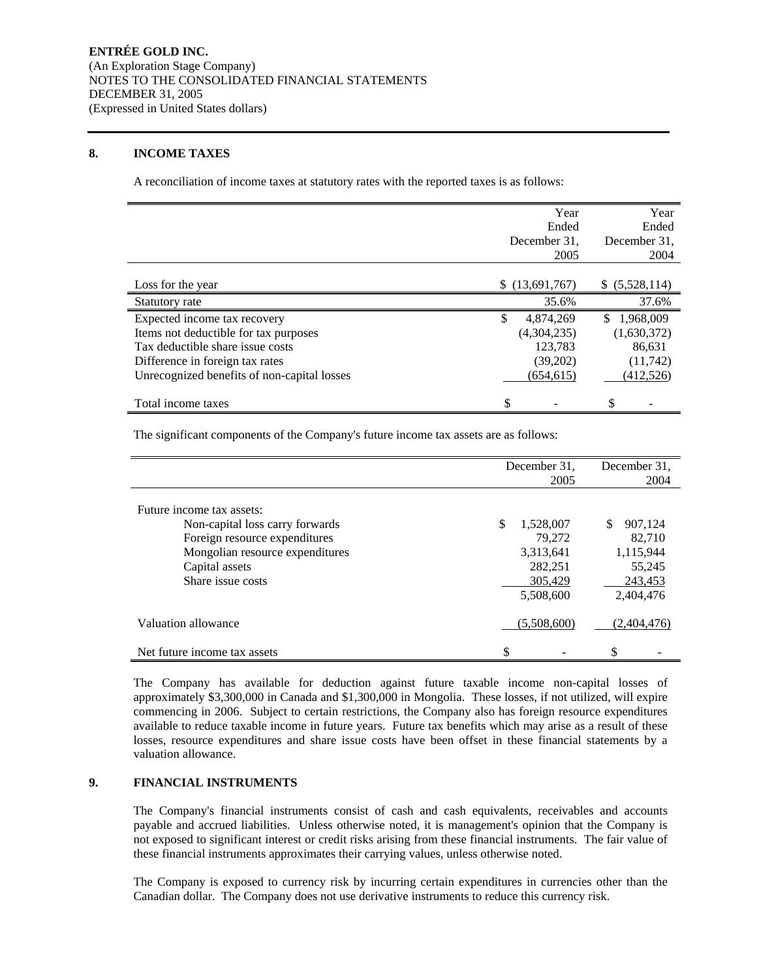# **8. INCOME TAXES**

A reconciliation of income taxes at statutory rates with the reported taxes is as follows:

|                                             | Year            | Year            |  |  |
|---------------------------------------------|-----------------|-----------------|--|--|
|                                             | Ended           | Ended           |  |  |
|                                             | December 31,    | December 31.    |  |  |
|                                             | 2005            | 2004            |  |  |
|                                             |                 |                 |  |  |
| Loss for the year                           | \$(13,691,767)  | \$ (5,528,114)  |  |  |
| Statutory rate                              | 35.6%           | 37.6%           |  |  |
| Expected income tax recovery                | \$<br>4,874,269 | 1,968,009<br>\$ |  |  |
| Items not deductible for tax purposes       | (4,304,235)     | (1,630,372)     |  |  |
| Tax deductible share issue costs            | 123.783         | 86,631          |  |  |
| Difference in foreign tax rates             | (39,202)        | (11,742)        |  |  |
| Unrecognized benefits of non-capital losses | (654, 615)      | (412, 526)      |  |  |
| Total income taxes                          | \$              | \$              |  |  |

The significant components of the Company's future income tax assets are as follows:

|                                                                                                                                                                         | December 31.                                                              | December 31.                                                            |
|-------------------------------------------------------------------------------------------------------------------------------------------------------------------------|---------------------------------------------------------------------------|-------------------------------------------------------------------------|
|                                                                                                                                                                         | 2005                                                                      | 2004                                                                    |
| Future income tax assets:<br>Non-capital loss carry forwards<br>Foreign resource expenditures<br>Mongolian resource expenditures<br>Capital assets<br>Share issue costs | \$<br>1,528,007<br>79,272<br>3,313,641<br>282,251<br>305,429<br>5,508,600 | \$.<br>907,124<br>82,710<br>1,115,944<br>55,245<br>243,453<br>2,404,476 |
| Valuation allowance                                                                                                                                                     | (5,508,600)                                                               | (2,404,476)                                                             |
| Net future income tax assets                                                                                                                                            | \$                                                                        | \$                                                                      |

The Company has available for deduction against future taxable income non-capital losses of approximately \$3,300,000 in Canada and \$1,300,000 in Mongolia. These losses, if not utilized, will expire commencing in 2006. Subject to certain restrictions, the Company also has foreign resource expenditures available to reduce taxable income in future years. Future tax benefits which may arise as a result of these losses, resource expenditures and share issue costs have been offset in these financial statements by a valuation allowance.

## **9. FINANCIAL INSTRUMENTS**

The Company's financial instruments consist of cash and cash equivalents, receivables and accounts payable and accrued liabilities. Unless otherwise noted, it is management's opinion that the Company is not exposed to significant interest or credit risks arising from these financial instruments. The fair value of these financial instruments approximates their carrying values, unless otherwise noted.

The Company is exposed to currency risk by incurring certain expenditures in currencies other than the Canadian dollar. The Company does not use derivative instruments to reduce this currency risk.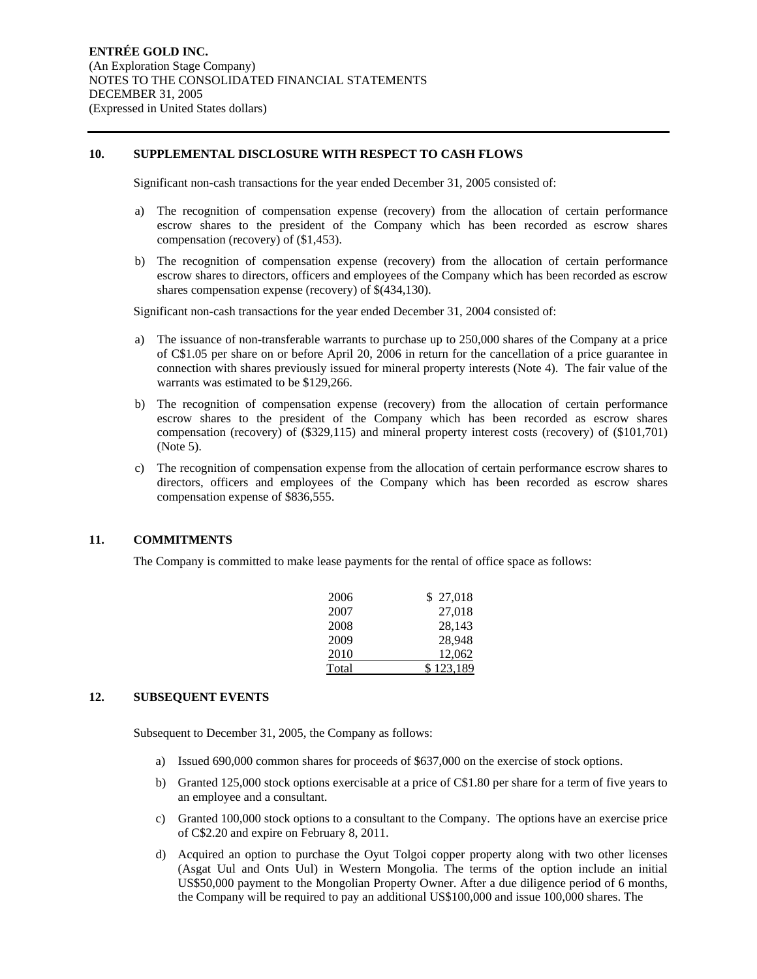## **10. SUPPLEMENTAL DISCLOSURE WITH RESPECT TO CASH FLOWS**

Significant non-cash transactions for the year ended December 31, 2005 consisted of:

- a) The recognition of compensation expense (recovery) from the allocation of certain performance escrow shares to the president of the Company which has been recorded as escrow shares compensation (recovery) of (\$1,453).
- b) The recognition of compensation expense (recovery) from the allocation of certain performance escrow shares to directors, officers and employees of the Company which has been recorded as escrow shares compensation expense (recovery) of \$(434,130).

Significant non-cash transactions for the year ended December 31, 2004 consisted of:

- a) The issuance of non-transferable warrants to purchase up to 250,000 shares of the Company at a price of C\$1.05 per share on or before April 20, 2006 in return for the cancellation of a price guarantee in connection with shares previously issued for mineral property interests (Note 4). The fair value of the warrants was estimated to be \$129,266.
- b) The recognition of compensation expense (recovery) from the allocation of certain performance escrow shares to the president of the Company which has been recorded as escrow shares compensation (recovery) of (\$329,115) and mineral property interest costs (recovery) of (\$101,701) (Note 5).
- c) The recognition of compensation expense from the allocation of certain performance escrow shares to directors, officers and employees of the Company which has been recorded as escrow shares compensation expense of \$836,555.

## **11. COMMITMENTS**

The Company is committed to make lease payments for the rental of office space as follows:

| 2006  | \$27,018  |
|-------|-----------|
| 2007  | 27,018    |
| 2008  | 28,143    |
| 2009  | 28.948    |
| 2010  | 12,062    |
| Total | \$123,189 |

# **12. SUBSEQUENT EVENTS**

Subsequent to December 31, 2005, the Company as follows:

- a) Issued 690,000 common shares for proceeds of \$637,000 on the exercise of stock options.
- b) Granted 125,000 stock options exercisable at a price of C\$1.80 per share for a term of five years to an employee and a consultant.
- c) Granted 100,000 stock options to a consultant to the Company. The options have an exercise price of C\$2.20 and expire on February 8, 2011.
- d) Acquired an option to purchase the Oyut Tolgoi copper property along with two other licenses (Asgat Uul and Onts Uul) in Western Mongolia. The terms of the option include an initial US\$50,000 payment to the Mongolian Property Owner. After a due diligence period of 6 months, the Company will be required to pay an additional US\$100,000 and issue 100,000 shares. The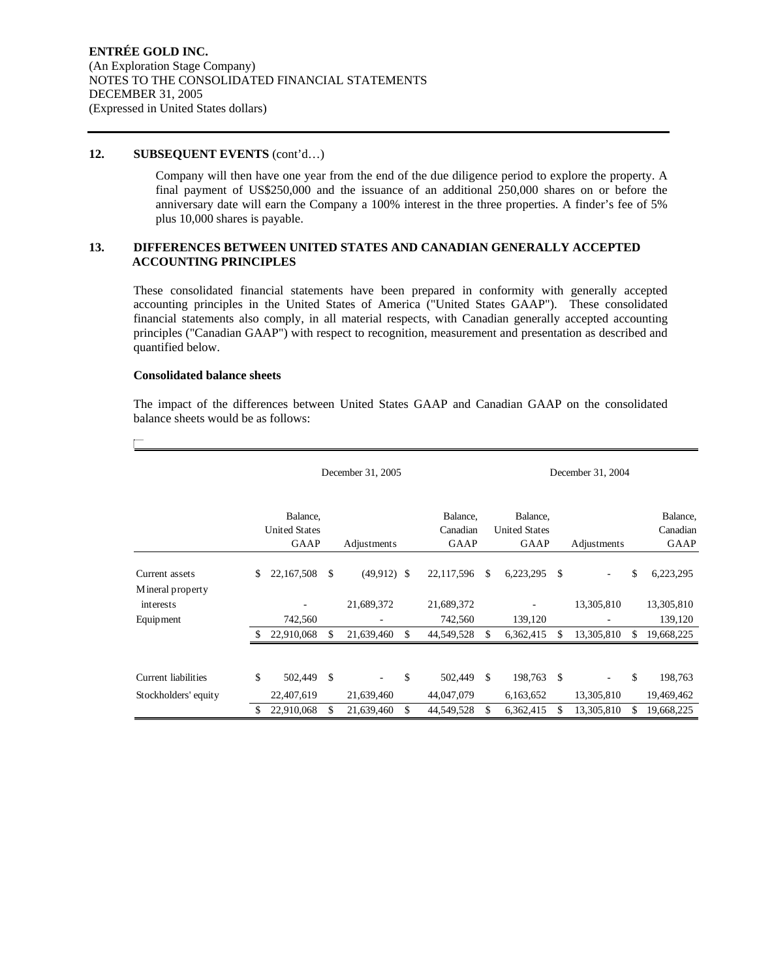## 12. **SUBSEQUENT EVENTS** (cont'd...)

Company will then have one year from the end of the due diligence period to explore the property. A final payment of US\$250,000 and the issuance of an additional 250,000 shares on or before the anniversary date will earn the Company a 100% interest in the three properties. A finder's fee of 5% plus 10,000 shares is payable.

## **13. DIFFERENCES BETWEEN UNITED STATES AND CANADIAN GENERALLY ACCEPTED ACCOUNTING PRINCIPLES**

These consolidated financial statements have been prepared in conformity with generally accepted accounting principles in the United States of America ("United States GAAP"). These consolidated financial statements also comply, in all material respects, with Canadian generally accepted accounting principles ("Canadian GAAP") with respect to recognition, measurement and presentation as described and quantified below.

## **Consolidated balance sheets**

The impact of the differences between United States GAAP and Canadian GAAP on the consolidated balance sheets would be as follows:

|                                                 | December 31, 2005 |                                          |               |                             |    | December 31, 2004            |    |                                          |               |             |    |                              |
|-------------------------------------------------|-------------------|------------------------------------------|---------------|-----------------------------|----|------------------------------|----|------------------------------------------|---------------|-------------|----|------------------------------|
|                                                 |                   | Balance,<br><b>United States</b><br>GAAP |               | Adjustments                 |    | Balance,<br>Canadian<br>GAAP |    | Balance,<br><b>United States</b><br>GAAP |               | Adjustments |    | Balance,<br>Canadian<br>GAAP |
| Current assets<br>Mineral property<br>interests | \$                | 22,167,508                               | \$            | $(49,912)$ \$<br>21,689,372 |    | 22,117,596                   | \$ | 6,223,295                                | \$            | 13,305,810  | \$ | 6,223,295                    |
| Equipment                                       |                   | 742,560                                  |               |                             |    | 21,689,372<br>742,560        |    | 139,120                                  |               |             |    | 13,305,810<br>139,120        |
|                                                 |                   | 22,910,068                               | \$.           | 21,639,460                  | \$ | 44,549,528                   | S  | 6,362,415                                | S             | 13,305,810  | \$ | 19,668,225                   |
| Current liabilities                             | \$                | 502,449                                  | $\mathcal{S}$ |                             | \$ | 502,449                      | \$ | 198,763                                  | <sup>\$</sup> |             | \$ | 198,763                      |
| Stockholders' equity                            |                   | 22,407,619                               |               | 21,639,460                  |    | 44,047,079                   |    | 6,163,652                                |               | 13,305,810  |    | 19,469,462                   |
|                                                 | \$                | 22,910,068                               | \$            | 21,639,460                  | \$ | 44,549,528                   | \$ | 6,362,415                                | S             | 13,305,810  | S  | 19,668,225                   |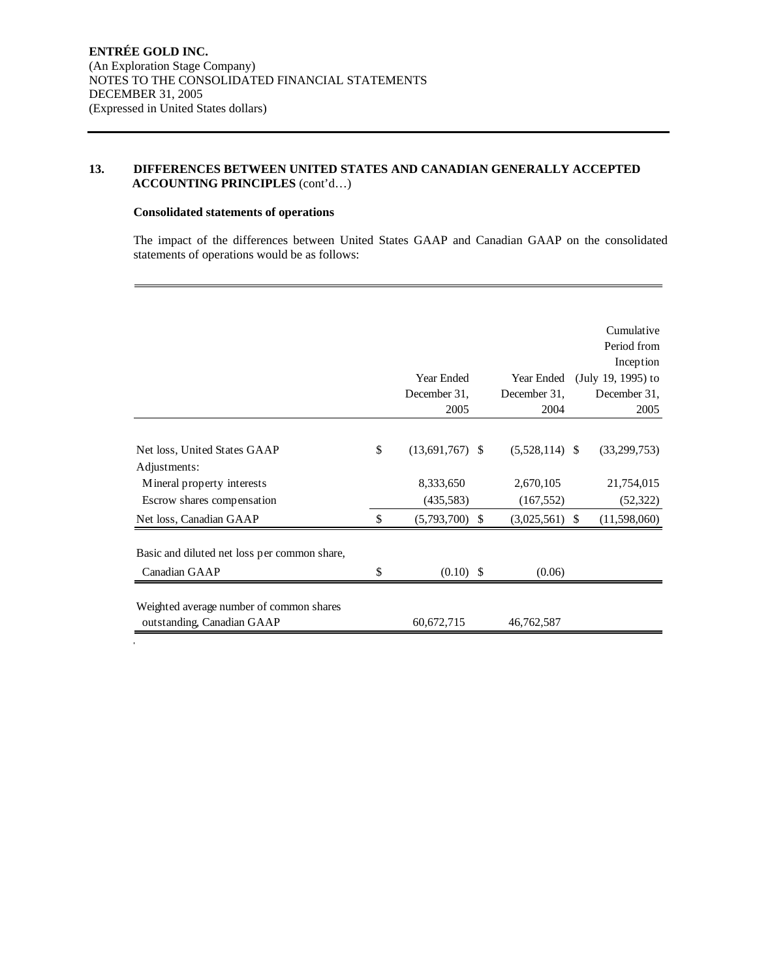# **Consolidated statements of operations**

 $\hat{\mathbf{r}}$ 

The impact of the differences between United States GAAP and Canadian GAAP on the consolidated statements of operations would be as follows:

|                                              |                         |                  | Cumulative         |
|----------------------------------------------|-------------------------|------------------|--------------------|
|                                              |                         |                  | Period from        |
|                                              |                         |                  | Inception          |
|                                              | Year Ended              | Year Ended       | (July 19, 1995) to |
|                                              | December 31.            | December 31.     | December 31.       |
|                                              | 2005                    | 2004             | 2005               |
|                                              |                         |                  |                    |
| Net loss, United States GAAP                 | \$<br>$(13,691,767)$ \$ | $(5,528,114)$ \$ | (33,299,753)       |
| Adjustments:                                 |                         |                  |                    |
| Mineral property interests                   | 8,333,650               | 2,670,105        | 21,754,015         |
| Escrow shares compensation                   | (435,583)               | (167, 552)       | (52, 322)          |
| Net loss, Canadian GAAP                      | \$<br>$(5,793,700)$ \$  | $(3,025,561)$ \$ | (11,598,060)       |
|                                              |                         |                  |                    |
| Basic and diluted net loss per common share, |                         |                  |                    |
| Canadian GAAP                                | \$<br>$(0.10)$ \$       | (0.06)           |                    |
|                                              |                         |                  |                    |
| Weighted average number of common shares     |                         |                  |                    |
| outstanding, Canadian GAAP                   | 60,672,715              | 46,762,587       |                    |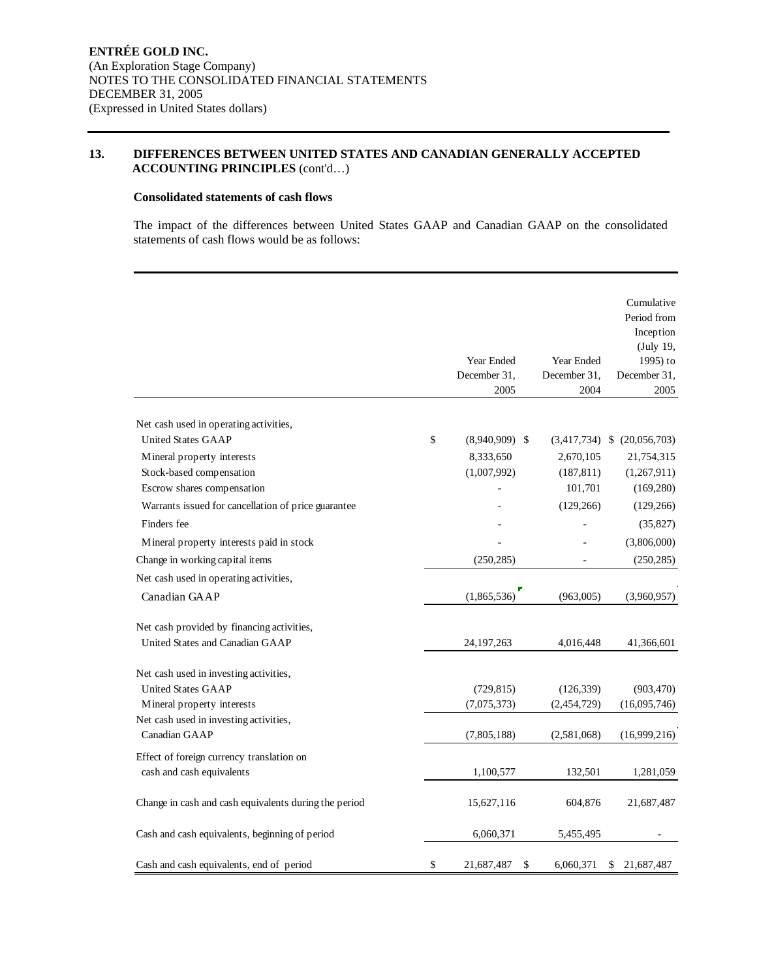# **Consolidated statements of cash flows**

The impact of the differences between United States GAAP and Canadian GAAP on the consolidated statements of cash flows would be as follows:

|                                                       | Year Ended<br>December 31,<br>2005 | Year Ended<br>December 31,<br>2004 | Cumulative<br>Period from<br>Inception<br>(July 19,<br>1995) to<br>December 31,<br>2005 |
|-------------------------------------------------------|------------------------------------|------------------------------------|-----------------------------------------------------------------------------------------|
| Net cash used in operating activities,                |                                    |                                    |                                                                                         |
| <b>United States GAAP</b>                             | \$<br>$(8,940,909)$ \$             |                                    | $(3,417,734)$ \$ $(20,056,703)$                                                         |
| Mineral property interests                            | 8,333,650                          | 2,670,105                          | 21,754,315                                                                              |
| Stock-based compensation                              | (1,007,992)                        | (187, 811)                         | (1,267,911)                                                                             |
| Escrow shares compensation                            |                                    | 101,701                            | (169, 280)                                                                              |
| Warrants issued for cancellation of price guarantee   |                                    | (129, 266)                         | (129, 266)                                                                              |
| Finders fee                                           |                                    |                                    | (35, 827)                                                                               |
| Mineral property interests paid in stock              |                                    |                                    | (3,806,000)                                                                             |
| Change in working capital items                       | (250, 285)                         |                                    | (250, 285)                                                                              |
| Net cash used in operating activities,                |                                    |                                    |                                                                                         |
| Canadian GAAP                                         | (1,865,536)                        | (963,005)                          | (3,960,957)                                                                             |
| Net cash provided by financing activities,            |                                    |                                    |                                                                                         |
| United States and Canadian GAAP                       | 24, 197, 263                       | 4,016,448                          | 41,366,601                                                                              |
| Net cash used in investing activities,                |                                    |                                    |                                                                                         |
| <b>United States GAAP</b>                             | (729, 815)                         | (126, 339)                         | (903, 470)                                                                              |
| Mineral property interests                            | (7,075,373)                        | (2,454,729)                        | (16,095,746)                                                                            |
| Net cash used in investing activities,                |                                    |                                    |                                                                                         |
| Canadian GAAP                                         | (7,805,188)                        | (2,581,068)                        | (16,999,216)                                                                            |
| Effect of foreign currency translation on             |                                    |                                    |                                                                                         |
| cash and cash equivalents                             | 1,100,577                          | 132,501                            | 1,281,059                                                                               |
| Change in cash and cash equivalents during the period | 15,627,116                         | 604,876                            | 21,687,487                                                                              |
| Cash and cash equivalents, beginning of period        | 6,060,371                          | 5,455,495                          |                                                                                         |
| Cash and cash equivalents, end of period              | \$<br>21,687,487                   | \$<br>6,060,371                    | 21,687,487<br>\$                                                                        |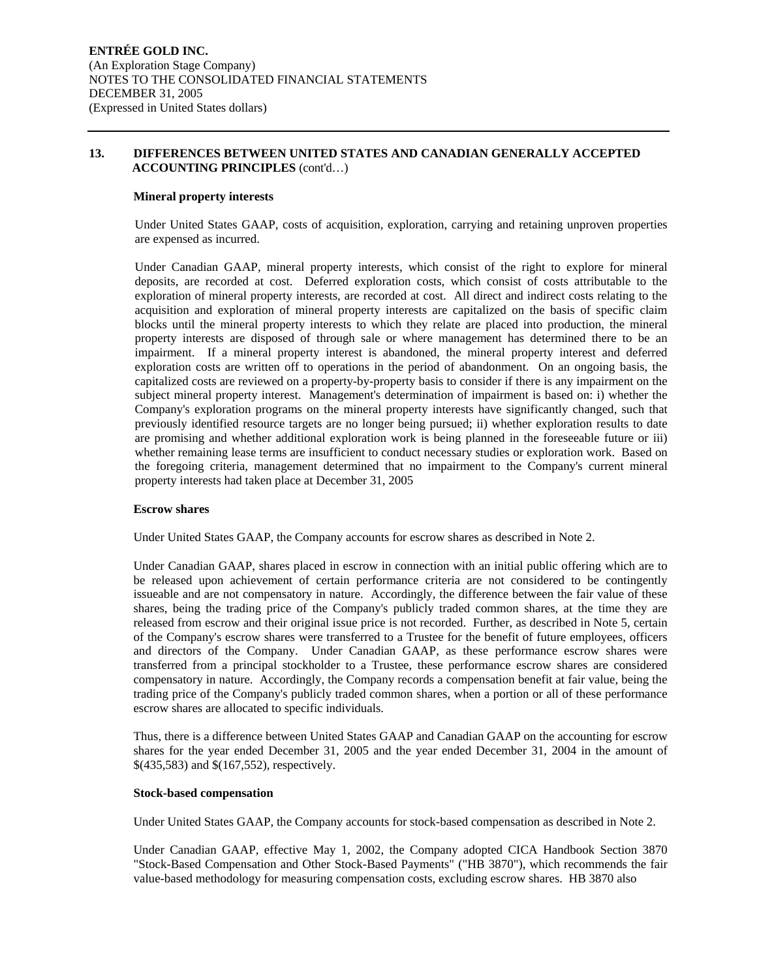## **Mineral property interests**

Under United States GAAP, costs of acquisition, exploration, carrying and retaining unproven properties are expensed as incurred.

Under Canadian GAAP, mineral property interests, which consist of the right to explore for mineral deposits, are recorded at cost. Deferred exploration costs, which consist of costs attributable to the exploration of mineral property interests, are recorded at cost. All direct and indirect costs relating to the acquisition and exploration of mineral property interests are capitalized on the basis of specific claim blocks until the mineral property interests to which they relate are placed into production, the mineral property interests are disposed of through sale or where management has determined there to be an impairment. If a mineral property interest is abandoned, the mineral property interest and deferred exploration costs are written off to operations in the period of abandonment. On an ongoing basis, the capitalized costs are reviewed on a property-by-property basis to consider if there is any impairment on the subject mineral property interest. Management's determination of impairment is based on: i) whether the Company's exploration programs on the mineral property interests have significantly changed, such that previously identified resource targets are no longer being pursued; ii) whether exploration results to date are promising and whether additional exploration work is being planned in the foreseeable future or iii) whether remaining lease terms are insufficient to conduct necessary studies or exploration work. Based on the foregoing criteria, management determined that no impairment to the Company's current mineral property interests had taken place at December 31, 2005

## **Escrow shares**

Under United States GAAP, the Company accounts for escrow shares as described in Note 2.

Under Canadian GAAP, shares placed in escrow in connection with an initial public offering which are to be released upon achievement of certain performance criteria are not considered to be contingently issueable and are not compensatory in nature. Accordingly, the difference between the fair value of these shares, being the trading price of the Company's publicly traded common shares, at the time they are released from escrow and their original issue price is not recorded. Further, as described in Note 5, certain of the Company's escrow shares were transferred to a Trustee for the benefit of future employees, officers and directors of the Company. Under Canadian GAAP, as these performance escrow shares were transferred from a principal stockholder to a Trustee, these performance escrow shares are considered compensatory in nature. Accordingly, the Company records a compensation benefit at fair value, being the trading price of the Company's publicly traded common shares, when a portion or all of these performance escrow shares are allocated to specific individuals.

Thus, there is a difference between United States GAAP and Canadian GAAP on the accounting for escrow shares for the year ended December 31, 2005 and the year ended December 31, 2004 in the amount of \$(435,583) and \$(167,552), respectively.

#### **Stock-based compensation**

Under United States GAAP, the Company accounts for stock-based compensation as described in Note 2.

Under Canadian GAAP, effective May 1, 2002, the Company adopted CICA Handbook Section 3870 "Stock-Based Compensation and Other Stock-Based Payments" ("HB 3870"), which recommends the fair value-based methodology for measuring compensation costs, excluding escrow shares. HB 3870 also